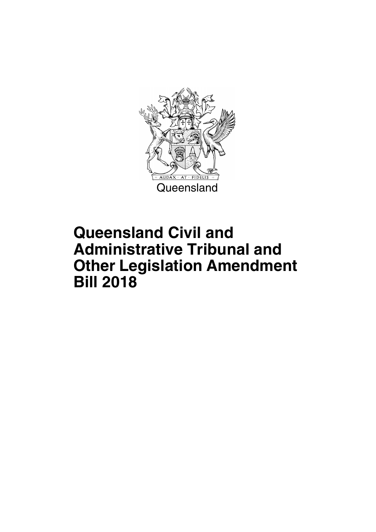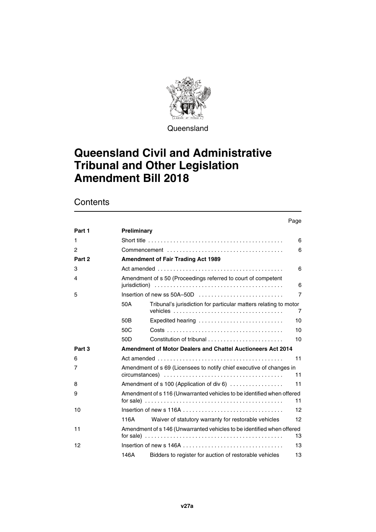

**Queensland** 

### **Queensland Civil and Administrative Tribunal and Other Legislation Amendment Bill 2018**

### **Contents**

|        |                 |                                                                                                                                                                                  | Page |
|--------|-----------------|----------------------------------------------------------------------------------------------------------------------------------------------------------------------------------|------|
| Part 1 | Preliminary     |                                                                                                                                                                                  |      |
| 1      |                 |                                                                                                                                                                                  | 6    |
| 2      |                 |                                                                                                                                                                                  | 6    |
| Part 2 |                 | <b>Amendment of Fair Trading Act 1989</b>                                                                                                                                        |      |
| 3      |                 |                                                                                                                                                                                  | 6    |
| 4      |                 | Amendment of s 50 (Proceedings referred to court of competent                                                                                                                    | 6    |
| 5      |                 |                                                                                                                                                                                  | 7    |
|        | 50A             | Tribunal's jurisdiction for particular matters relating to motor                                                                                                                 | 7    |
|        | 50 <sub>B</sub> | Expedited hearing                                                                                                                                                                | 10   |
|        | 50 <sub>C</sub> |                                                                                                                                                                                  | 10   |
|        | 50 <sub>D</sub> |                                                                                                                                                                                  | 10   |
| Part 3 |                 | Amendment of Motor Dealers and Chattel Auctioneers Act 2014                                                                                                                      |      |
| 6      |                 |                                                                                                                                                                                  | 11   |
| 7      |                 | Amendment of s 69 (Licensees to notify chief executive of changes in                                                                                                             | 11   |
| 8      |                 | Amendment of s 100 (Application of div 6)                                                                                                                                        | 11   |
| 9      |                 | Amendment of s 116 (Unwarranted vehicles to be identified when offered                                                                                                           | 11   |
| 10     |                 |                                                                                                                                                                                  | 12   |
|        | 116A            | Waiver of statutory warranty for restorable vehicles                                                                                                                             | 12   |
| 11     |                 | Amendment of s 146 (Unwarranted vehicles to be identified when offered<br>for sale) $\ldots \ldots \ldots \ldots \ldots \ldots \ldots \ldots \ldots \ldots \ldots \ldots \ldots$ | 13   |
| 12     |                 |                                                                                                                                                                                  | 13   |
|        | 146A            | Bidders to register for auction of restorable vehicles                                                                                                                           | 13   |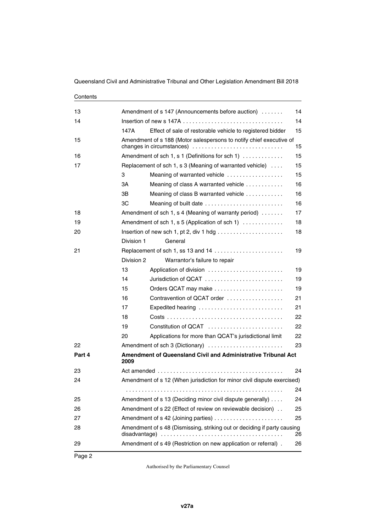### **Contents**  Amendment of s 147 (Announcements before auction) . . . . . . . . 14  [Insertion of new s 147A . . . . . . . . . . . . . . . . . . . . . . . . . . . . . . . . 14](#page-15-3) [147A](#page-16-0) [Effect of sale of restorable vehicle to registered bidder 15](#page-16-1)  [Amendment of s 188 \(Motor salespersons to notify chief executive of](#page-16-3)  [changes in circumstances\) . . . . . . . . . . . . . . . . . . . . . . . . . . . . . 15](#page-16-3)  [Amendment of sch 1, s 1 \(Definitions for sch 1\) . . . . . . . . . . . . . 15](#page-16-5)  [Replacement of sch 1, s 3 \(Meaning of warranted vehicle\) . . . . 15](#page-16-7)  [Meaning of warranted vehicle . . . . . . . . . . . . . . . . . . 15](#page-16-9) [3A](#page-17-0) [Meaning of class A warranted vehicle . . . . . . . . . . . . 16](#page-17-1) [3B](#page-17-2) [Meaning of class B warranted vehicle . . . . . . . . . . . . 16](#page-17-3) [3C](#page-17-4) [Meaning of built date . . . . . . . . . . . . . . . . . . . . . . . . . 16](#page-17-5) **Amendment of sch 1, s 4 (Meaning of warranty period)** . . . . . . . . 17  [Amendment of sch 1, s 5 \(Application of sch 1\) . . . . . . . . . . . . . 18](#page-19-1)  [Insertion of new sch 1, pt 2, div 1 hdg . . . . . . . . . . . . . . . . . . . . . 18](#page-19-3) [Division 1](#page-19-4) [General](#page-19-5)  [Replacement of sch 1, ss 13 and 14 . . . . . . . . . . . . . . . . . . . . . . 19](#page-20-1) [Division 2](#page-20-2) [Warrantor's failure to repair](#page-20-3)  [Application of division . . . . . . . . . . . . . . . . . . . . . . . . 19](#page-20-5)  [Jurisdiction of QCAT . . . . . . . . . . . . . . . . . . . . . . . . . 19](#page-20-7)  [Orders QCAT may make . . . . . . . . . . . . . . . . . . . . . . 19](#page-20-9)  [Contravention of QCAT order . . . . . . . . . . . . . . . . . . 21](#page-22-1)  [Expedited hearing . . . . . . . . . . . . . . . . . . . . . . . . . . . 21](#page-22-3)  [Costs . . . . . . . . . . . . . . . . . . . . . . . . . . . . . . . . . . . . . 22](#page-23-1)  [Constitution of QCAT . . . . . . . . . . . . . . . . . . . . . . . . 22](#page-23-3)  [Applications for more than QCAT's jurisdictional limit 22](#page-23-5)  [Amendment of sch 3 \(Dictionary\) . . . . . . . . . . . . . . . . . . . . . . . . 23](#page-24-1) **[Part 4](#page-25-0) [Amendment of Queensland Civil and Administrative Tribunal Act](#page-25-1)**   [Act amended . . . . . . . . . . . . . . . . . . . . . . . . . . . . . . . . . . . . . . . . 24](#page-25-3)  [Amendment of s 12 \(When jurisdiction for minor civil dispute exercised\)](#page-25-5) . . . . . . . . . . . . . . . . . . . . . . . . . . . . . . . . . . . . . . . . . . . . . . . . . . 24  [Amendment of s 13 \(Deciding minor civil dispute generally\) . . . . 24](#page-25-7)  [Amendment of s 22 \(Effect of review on reviewable decision\) . . 25](#page-26-1)  [Amendment of s 42 \(Joining parties\) . . . . . . . . . . . . . . . . . . . . . . 25](#page-26-3)  [Amendment of s 48 \(Dismissing, striking out or deciding if party causing](#page-27-1)  [disadvantage\) . . . . . . . . . . . . . . . . . . . . . . . . . . . . . . . . . . . . . . . 26](#page-27-1)  [Amendment of s 49 \(Restriction on new application or referral\) . 26](#page-27-3)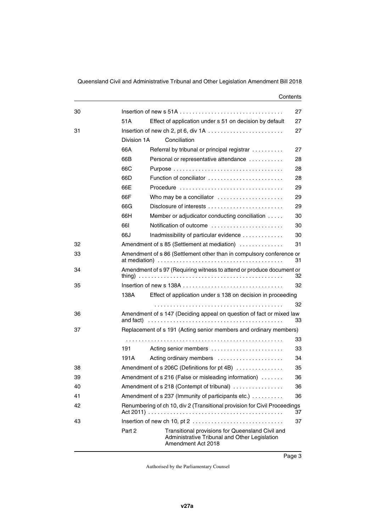#### **Contents**

| 30 |             |                                                                                                                         | 27 |
|----|-------------|-------------------------------------------------------------------------------------------------------------------------|----|
|    | 51A         | Effect of application under s 51 on decision by default                                                                 | 27 |
| 31 |             |                                                                                                                         | 27 |
|    | Division 1A | Conciliation                                                                                                            |    |
|    | 66A         | Referral by tribunal or principal registrar                                                                             | 27 |
|    | 66B         | Personal or representative attendance                                                                                   | 28 |
|    | 66C         |                                                                                                                         | 28 |
|    | 66D         | Function of conciliator                                                                                                 | 28 |
|    | 66E         | Procedure                                                                                                               | 29 |
|    | 66F         | Who may be a conciliator                                                                                                | 29 |
|    | 66G         |                                                                                                                         | 29 |
|    | 66H         | Member or adjudicator conducting conciliation                                                                           | 30 |
|    | 66I         | Notification of outcome                                                                                                 | 30 |
|    | 66J         | Inadmissibility of particular evidence                                                                                  | 30 |
| 32 |             | Amendment of s 85 (Settlement at mediation)                                                                             | 31 |
| 33 |             | Amendment of s 86 (Settlement other than in compulsory conference or                                                    | 31 |
| 34 |             | Amendment of s 97 (Requiring witness to attend or produce document or                                                   | 32 |
| 35 |             |                                                                                                                         | 32 |
|    | 138A        | Effect of application under s 138 on decision in proceeding                                                             |    |
|    |             |                                                                                                                         | 32 |
| 36 | and fact)   | Amendment of s 147 (Deciding appeal on question of fact or mixed law                                                    | 33 |
| 37 |             | Replacement of s 191 (Acting senior members and ordinary members)                                                       |    |
|    |             |                                                                                                                         | 33 |
|    | 191         | Acting senior members                                                                                                   | 33 |
|    | 191A        | Acting ordinary members                                                                                                 | 34 |
| 38 |             | Amendment of s 206C (Definitions for pt 4B)                                                                             | 35 |
| 39 |             | Amendment of s 216 (False or misleading information)                                                                    | 36 |
| 40 |             | Amendment of s 218 (Contempt of tribunal)                                                                               | 36 |
| 41 |             | Amendment of s 237 (Immunity of participants etc.)                                                                      | 36 |
| 42 |             | Renumbering of ch 10, div 2 (Transitional provision for Civil Proceedings                                               |    |
|    |             |                                                                                                                         | 37 |
| 43 |             |                                                                                                                         | 37 |
|    | Part 2      | Transitional provisions for Queensland Civil and<br>Administrative Tribunal and Other Legislation<br>Amendment Act 2018 |    |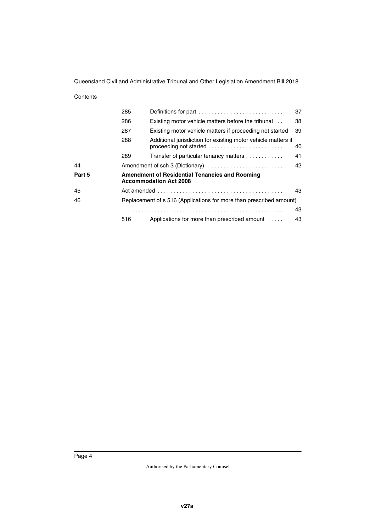| Contents |
|----------|
|----------|

|        | 285 | Definitions for part                                                                                                                       | 37 |
|--------|-----|--------------------------------------------------------------------------------------------------------------------------------------------|----|
|        | 286 | Existing motor vehicle matters before the tribunal                                                                                         | 38 |
|        | 287 | Existing motor vehicle matters if proceeding not started                                                                                   | 39 |
|        | 288 | Additional jurisdiction for existing motor vehicle matters if<br>proceeding not started $\ldots \ldots \ldots \ldots \ldots \ldots \ldots$ | 40 |
|        | 289 | Transfer of particular tenancy matters                                                                                                     | 41 |
| 44     |     | Amendment of sch 3 (Dictionary)                                                                                                            | 42 |
| Part 5 |     | <b>Amendment of Residential Tenancies and Rooming</b><br><b>Accommodation Act 2008</b>                                                     |    |
| 45     |     |                                                                                                                                            | 43 |
| 46     |     | Replacement of s 516 (Applications for more than prescribed amount)                                                                        |    |
|        |     |                                                                                                                                            | 43 |
|        | 516 | Applications for more than prescribed amount                                                                                               | 43 |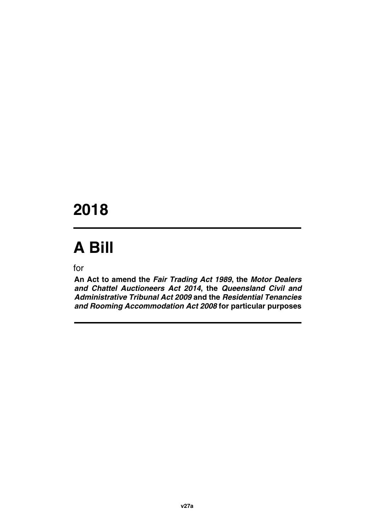## **2018**

# **A Bill**

for

**An Act to amend the** *Fair Trading Act 1989***, the** *Motor Dealers and Chattel Auctioneers Act 2014***, the** *Queensland Civil and Administrative Tribunal Act 2009* **and the** *Residential Tenancies and Rooming Accommodation Act 2008* **for particular purposes**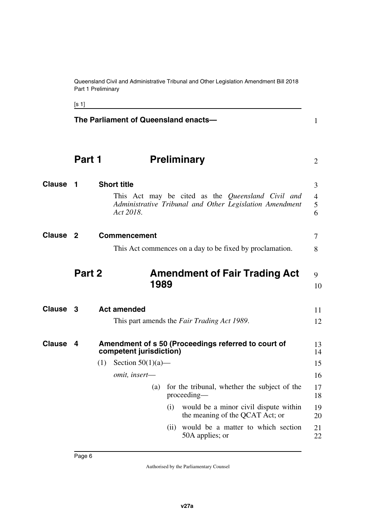Queensland Civil and Administrative Tribunal and Other Legislation Amendment Bill 2018 Part 1 Preliminary

<span id="page-7-11"></span><span id="page-7-10"></span><span id="page-7-9"></span><span id="page-7-8"></span><span id="page-7-6"></span><span id="page-7-5"></span><span id="page-7-4"></span><span id="page-7-2"></span>

|               |                | The Parliament of Queensland enacts-         |     |                                                                                                              | $\mathbf{1}$                  |
|---------------|----------------|----------------------------------------------|-----|--------------------------------------------------------------------------------------------------------------|-------------------------------|
|               | Part 1         |                                              |     | <b>Preliminary</b>                                                                                           | $\overline{2}$                |
| <b>Clause</b> | 1              | <b>Short title</b><br>Act 2018.              |     | This Act may be cited as the Queensland Civil and<br>Administrative Tribunal and Other Legislation Amendment | 3<br>$\overline{4}$<br>5<br>6 |
| <b>Clause</b> | $\overline{2}$ | <b>Commencement</b>                          |     |                                                                                                              | 7                             |
|               |                |                                              |     | This Act commences on a day to be fixed by proclamation.                                                     | 8                             |
|               | Part 2         | 1989                                         |     | <b>Amendment of Fair Trading Act</b>                                                                         | 9<br>10                       |
| Clause 3      |                | <b>Act amended</b>                           |     | This part amends the Fair Trading Act 1989.                                                                  | 11<br>12                      |
| <b>Clause</b> | 4              | competent jurisdiction)                      |     | Amendment of s 50 (Proceedings referred to court of                                                          | 13<br>14                      |
|               |                | Section $50(1)(a)$ —<br>(1)<br>omit, insert- |     |                                                                                                              | 15<br>16                      |
|               |                | (a)                                          |     | for the tribunal, whether the subject of the<br>proceeding—                                                  | 17<br>18                      |
|               |                |                                              | (i) | would be a minor civil dispute within<br>the meaning of the QCAT Act; or                                     | 19<br>20                      |
|               |                |                                              |     | (ii) would be a matter to which section<br>50A applies; or                                                   | 21<br>22                      |

<span id="page-7-7"></span><span id="page-7-3"></span><span id="page-7-1"></span><span id="page-7-0"></span>[s 1]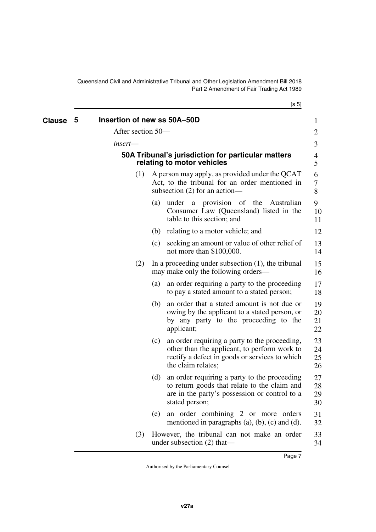[s 5]

<span id="page-8-3"></span><span id="page-8-2"></span><span id="page-8-1"></span><span id="page-8-0"></span>

| <b>Clause</b> | 5 | Insertion of new ss 50A-50D |     |                                                                                                                                                                       | 1                    |
|---------------|---|-----------------------------|-----|-----------------------------------------------------------------------------------------------------------------------------------------------------------------------|----------------------|
|               |   | After section 50-           |     |                                                                                                                                                                       | 2                    |
|               |   | insert-                     |     |                                                                                                                                                                       | 3                    |
|               |   |                             |     | 50A Tribunal's jurisdiction for particular matters<br>relating to motor vehicles                                                                                      | 4<br>5               |
|               |   | (1)                         |     | A person may apply, as provided under the QCAT<br>Act, to the tribunal for an order mentioned in<br>subsection $(2)$ for an action—                                   | 6<br>7<br>8          |
|               |   |                             | (a) | a provision of the<br>under<br>Australian<br>Consumer Law (Queensland) listed in the<br>table to this section; and                                                    | 9<br>10<br>11        |
|               |   |                             |     | (b) relating to a motor vehicle; and                                                                                                                                  | 12                   |
|               |   |                             | (c) | seeking an amount or value of other relief of<br>not more than $$100,000$ .                                                                                           | 13<br>14             |
|               |   | (2)                         |     | In a proceeding under subsection $(1)$ , the tribunal<br>may make only the following orders—                                                                          | 15<br>16             |
|               |   |                             | (a) | an order requiring a party to the proceeding<br>to pay a stated amount to a stated person;                                                                            | 17<br>18             |
|               |   |                             | (b) | an order that a stated amount is not due or<br>owing by the applicant to a stated person, or<br>by any party to the proceeding to the<br>applicant;                   | 19<br>20<br>21<br>22 |
|               |   |                             | (c) | an order requiring a party to the proceeding,<br>other than the applicant, to perform work to<br>rectify a defect in goods or services to which<br>the claim relates; | 23<br>24<br>25<br>26 |
|               |   |                             | (d) | an order requiring a party to the proceeding<br>to return goods that relate to the claim and<br>are in the party's possession or control to a<br>stated person;       | 27<br>28<br>29<br>30 |
|               |   |                             | (e) | an order combining 2 or more orders<br>mentioned in paragraphs $(a)$ , $(b)$ , $(c)$ and $(d)$ .                                                                      | 31<br>32             |
|               |   | (3)                         |     | However, the tribunal can not make an order<br>under subsection $(2)$ that—                                                                                           | 33<br>34             |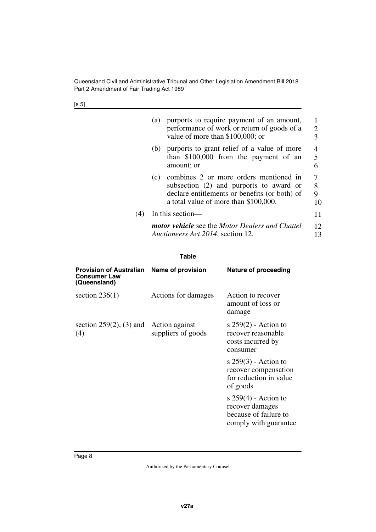[s 5]

|     | (a) | purports to require payment of an amount,<br>performance of work or return of goods of a<br>value of more than \$100,000; or                                                | 2<br>3                   |
|-----|-----|-----------------------------------------------------------------------------------------------------------------------------------------------------------------------------|--------------------------|
|     | (b) | purports to grant relief of a value of more<br>than $$100,000$ from the payment of an<br>amount; or                                                                         | $\overline{4}$<br>5<br>6 |
|     | (c) | combines 2 or more orders mentioned in<br>subsection (2) and purports to award or<br>declare entitlements or benefits (or both) of<br>a total value of more than \$100,000. | 7<br>8<br>9<br>10        |
| (4) |     | In this section—                                                                                                                                                            | 11                       |
|     |     | <b>motor vehicle</b> see the Motor Dealers and Chattel<br>Auctioneers Act 2014, section 12.                                                                                 | 12<br>13                 |

#### **Table**

| <b>Provision of Australian</b><br><b>Consumer Law</b><br>(Queensland) | Name of provision   | Nature of proceeding                                                                        |
|-----------------------------------------------------------------------|---------------------|---------------------------------------------------------------------------------------------|
| section $236(1)$                                                      | Actions for damages | Action to recover<br>amount of loss or<br>damage                                            |
| section $259(2)$ , (3) and Action against<br>(4)                      | suppliers of goods  | s $259(2)$ - Action to<br>recover reasonable<br>costs incurred by<br>consumer               |
|                                                                       |                     | s $259(3)$ - Action to<br>recover compensation<br>for reduction in value<br>of goods        |
|                                                                       |                     | s $259(4)$ - Action to<br>recover damages<br>because of failure to<br>comply with guarantee |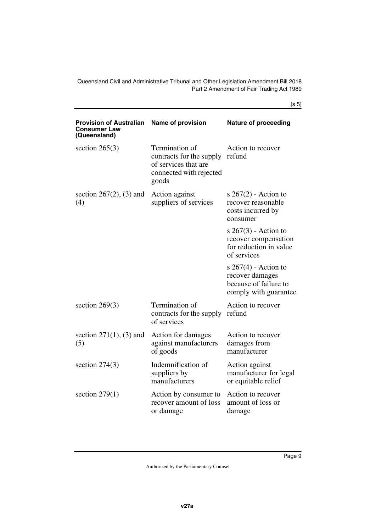[s 5]

| <b>Provision of Australian</b><br><b>Consumer Law</b><br>(Queensland) | <b>Name of provision</b>                                                                               | <b>Nature of proceeding</b>                                                                 |
|-----------------------------------------------------------------------|--------------------------------------------------------------------------------------------------------|---------------------------------------------------------------------------------------------|
| section $265(3)$                                                      | Termination of<br>contracts for the supply<br>of services that are<br>connected with rejected<br>goods | Action to recover<br>refund                                                                 |
| section $267(2)$ , (3) and<br>(4)                                     | Action against<br>suppliers of services                                                                | s $267(2)$ - Action to<br>recover reasonable<br>costs incurred by<br>consumer               |
|                                                                       |                                                                                                        | s $267(3)$ - Action to<br>recover compensation<br>for reduction in value<br>of services     |
|                                                                       |                                                                                                        | s $267(4)$ - Action to<br>recover damages<br>because of failure to<br>comply with guarantee |
| section $269(3)$                                                      | Termination of<br>contracts for the supply<br>of services                                              | Action to recover<br>refund                                                                 |
| section $271(1)$ , (3) and<br>(5)                                     | Action for damages<br>against manufacturers<br>of goods                                                | Action to recover<br>damages from<br>manufacturer                                           |
| section $274(3)$                                                      | Indemnification of<br>suppliers by<br>manufacturers                                                    | Action against<br>manufacturer for legal<br>or equitable relief                             |
| section $279(1)$                                                      | Action by consumer to<br>recover amount of loss<br>or damage                                           | Action to recover<br>amount of loss or<br>damage                                            |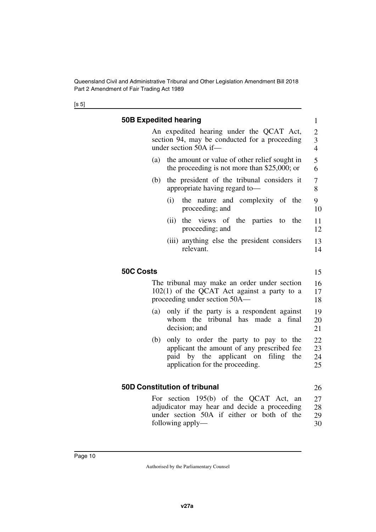<span id="page-11-5"></span><span id="page-11-4"></span><span id="page-11-3"></span><span id="page-11-2"></span><span id="page-11-1"></span><span id="page-11-0"></span>

|                  | <b>50B Expedited hearing</b>                                                                                                                                     |  |  |  |
|------------------|------------------------------------------------------------------------------------------------------------------------------------------------------------------|--|--|--|
|                  | An expedited hearing under the QCAT Act,<br>section 94, may be conducted for a proceeding                                                                        |  |  |  |
|                  | under section 50A if-                                                                                                                                            |  |  |  |
| (a)              | the amount or value of other relief sought in<br>the proceeding is not more than \$25,000; or                                                                    |  |  |  |
| (b)              | the president of the tribunal considers it<br>appropriate having regard to-                                                                                      |  |  |  |
|                  | the nature and complexity of the<br>(i)<br>proceeding; and                                                                                                       |  |  |  |
|                  | the views of the parties to the<br>(ii)<br>proceeding; and                                                                                                       |  |  |  |
|                  | (iii) anything else the president considers<br>relevant.                                                                                                         |  |  |  |
| <b>50C Costs</b> |                                                                                                                                                                  |  |  |  |
|                  | The tribunal may make an order under section<br>$102(1)$ of the QCAT Act against a party to a<br>proceeding under section 50A—                                   |  |  |  |
| (a)              | only if the party is a respondent against<br>whom the tribunal has made<br>final<br>a -<br>decision; and                                                         |  |  |  |
| (b)              | only to order the party to pay to the<br>applicant the amount of any prescribed fee<br>paid by the applicant on<br>filing the<br>application for the proceeding. |  |  |  |
|                  | <b>50D Constitution of tribunal</b>                                                                                                                              |  |  |  |
|                  | For section 195(b) of the QCAT Act, an                                                                                                                           |  |  |  |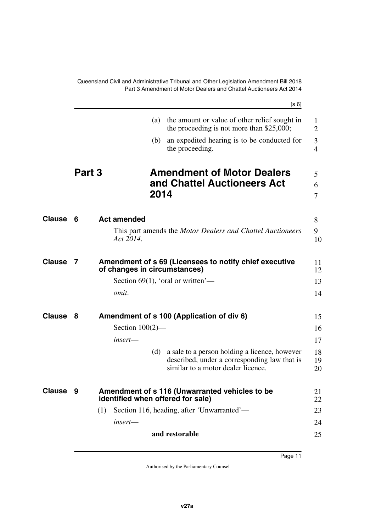<span id="page-12-9"></span><span id="page-12-8"></span><span id="page-12-7"></span><span id="page-12-6"></span><span id="page-12-5"></span><span id="page-12-4"></span><span id="page-12-3"></span><span id="page-12-2"></span><span id="page-12-1"></span><span id="page-12-0"></span>

|               |        | [s 6]                                                                                              |                     |
|---------------|--------|----------------------------------------------------------------------------------------------------|---------------------|
|               |        | the amount or value of other relief sought in<br>(a)<br>the proceeding is not more than $$25,000;$ | 1<br>$\overline{2}$ |
|               |        | an expedited hearing is to be conducted for<br>(b)<br>the proceeding.                              | 3<br>$\overline{4}$ |
|               | Part 3 | <b>Amendment of Motor Dealers</b>                                                                  | 5                   |
|               |        | and Chattel Auctioneers Act<br>2014                                                                | 6<br>7              |
| Clause        | 6      | <b>Act amended</b>                                                                                 | 8                   |
|               |        | This part amends the <i>Motor Dealers and Chattel Auctioneers</i><br>Act 2014.                     | 9<br>10             |
| <b>Clause</b> | 7      | Amendment of s 69 (Licensees to notify chief executive<br>of changes in circumstances)             | 11<br>12            |
|               |        | Section 69(1), 'oral or written'—                                                                  | 13                  |
|               |        | omit.                                                                                              | 14                  |
| <b>Clause</b> | 8      | Amendment of s 100 (Application of div 6)                                                          | 15                  |
|               |        | Section $100(2)$ —                                                                                 | 16                  |
|               |        | insert—                                                                                            | 17                  |
|               |        | a sale to a person holding a licence, however<br>(d)                                               | 18                  |
|               |        | described, under a corresponding law that is<br>similar to a motor dealer licence.                 | 19<br>20            |
| <b>Clause</b> | - 9    | Amendment of s 116 (Unwarranted vehicles to be<br>identified when offered for sale)                | 21<br>22            |
|               |        | Section 116, heading, after 'Unwarranted'—<br>(1)                                                  | 23                  |
|               |        | $insert$ —                                                                                         | 24                  |
|               |        | and restorable                                                                                     | 25                  |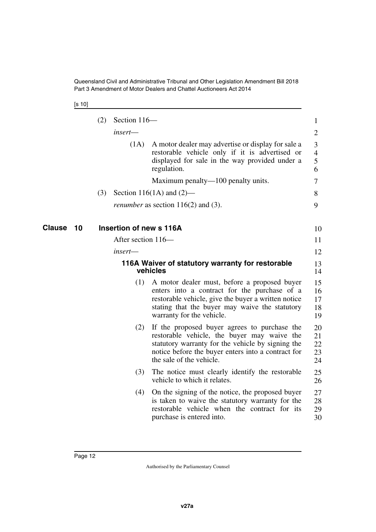<span id="page-13-3"></span><span id="page-13-2"></span>[s 10]

<span id="page-13-1"></span><span id="page-13-0"></span>

|              | (2) | Section 116-            |                                                                                                                                                                                                                                    | $\mathbf{1}$                  |
|--------------|-----|-------------------------|------------------------------------------------------------------------------------------------------------------------------------------------------------------------------------------------------------------------------------|-------------------------------|
|              |     | insert—                 |                                                                                                                                                                                                                                    | $\overline{2}$                |
|              |     | (1A)                    | A motor dealer may advertise or display for sale a<br>restorable vehicle only if it is advertised or<br>displayed for sale in the way provided under a<br>regulation.                                                              | 3<br>$\overline{4}$<br>5<br>6 |
|              |     |                         | Maximum penalty—100 penalty units.                                                                                                                                                                                                 | 7                             |
|              | (3) |                         | Section 116(1A) and $(2)$ —                                                                                                                                                                                                        | 8                             |
|              |     |                         | <i>renumber</i> as section $116(2)$ and (3).                                                                                                                                                                                       | 9                             |
| Clause<br>10 |     | Insertion of new s 116A |                                                                                                                                                                                                                                    | 10                            |
|              |     | After section 116-      |                                                                                                                                                                                                                                    | 11                            |
|              |     | $insert$ —              |                                                                                                                                                                                                                                    | 12                            |
|              |     |                         | 116A Waiver of statutory warranty for restorable<br>vehicles                                                                                                                                                                       | 13<br>14                      |
|              |     | (1)                     | A motor dealer must, before a proposed buyer<br>enters into a contract for the purchase of a<br>restorable vehicle, give the buyer a written notice<br>stating that the buyer may waive the statutory<br>warranty for the vehicle. | 15<br>16<br>17<br>18<br>19    |
|              |     | (2)                     | If the proposed buyer agrees to purchase the<br>restorable vehicle, the buyer may waive the<br>statutory warranty for the vehicle by signing the<br>notice before the buyer enters into a contract for<br>the sale of the vehicle. | 20<br>21<br>22<br>23<br>24    |
|              |     | (3)                     | The notice must clearly identify the restorable<br>vehicle to which it relates.                                                                                                                                                    | 25<br>26                      |
|              |     | (4)                     | On the signing of the notice, the proposed buyer<br>is taken to waive the statutory warranty for the<br>restorable vehicle when the contract for its<br>purchase is entered into.                                                  | 27<br>28<br>29<br>30          |
|              |     |                         |                                                                                                                                                                                                                                    |                               |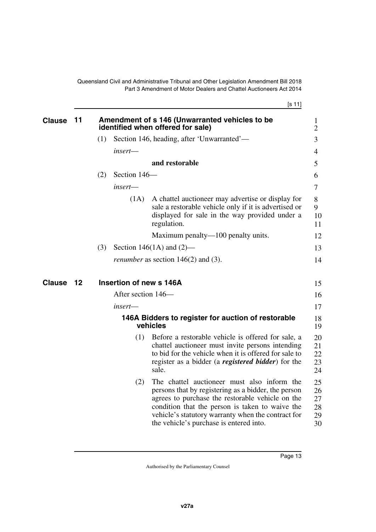[s 11]

<span id="page-14-5"></span><span id="page-14-4"></span><span id="page-14-3"></span><span id="page-14-2"></span><span id="page-14-1"></span><span id="page-14-0"></span>

| <b>Clause</b> | 11 |     |                         | Amendment of s 146 (Unwarranted vehicles to be<br>identified when offered for sale)                                                                                                                                                                                                                        | 1<br>$\overline{2}$              |
|---------------|----|-----|-------------------------|------------------------------------------------------------------------------------------------------------------------------------------------------------------------------------------------------------------------------------------------------------------------------------------------------------|----------------------------------|
|               |    | (1) |                         | Section 146, heading, after 'Unwarranted'—                                                                                                                                                                                                                                                                 | 3                                |
|               |    |     | insert-                 |                                                                                                                                                                                                                                                                                                            | $\overline{4}$                   |
|               |    |     |                         | and restorable                                                                                                                                                                                                                                                                                             | 5                                |
|               |    | (2) | Section 146-            |                                                                                                                                                                                                                                                                                                            | 6                                |
|               |    |     | $insert$ —              |                                                                                                                                                                                                                                                                                                            | 7                                |
|               |    |     | (1A)                    | A chattel auctioneer may advertise or display for<br>sale a restorable vehicle only if it is advertised or<br>displayed for sale in the way provided under a<br>regulation.                                                                                                                                | 8<br>9<br>10<br>11               |
|               |    |     |                         | Maximum penalty—100 penalty units.                                                                                                                                                                                                                                                                         | 12                               |
|               |    | (3) |                         | Section 146(1A) and $(2)$ —                                                                                                                                                                                                                                                                                | 13                               |
|               |    |     |                         | <i>renumber</i> as section $146(2)$ and (3).                                                                                                                                                                                                                                                               | 14                               |
| <b>Clause</b> | 12 |     | Insertion of new s 146A |                                                                                                                                                                                                                                                                                                            | 15                               |
|               |    |     | After section 146-      |                                                                                                                                                                                                                                                                                                            | 16                               |
|               |    |     | insert—                 |                                                                                                                                                                                                                                                                                                            | 17                               |
|               |    |     |                         | 146A Bidders to register for auction of restorable<br>vehicles                                                                                                                                                                                                                                             | 18<br>19                         |
|               |    |     | (1)                     | Before a restorable vehicle is offered for sale, a<br>chattel auctioneer must invite persons intending<br>to bid for the vehicle when it is offered for sale to<br>register as a bidder (a <b><i>registered bidder</i></b> ) for the<br>sale.                                                              | 20<br>21<br>22<br>23<br>24       |
|               |    |     | (2)                     | The chattel auctioneer must also inform the<br>persons that by registering as a bidder, the person<br>agrees to purchase the restorable vehicle on the<br>condition that the person is taken to waive the<br>vehicle's statutory warranty when the contract for<br>the vehicle's purchase is entered into. | 25<br>26<br>27<br>28<br>29<br>30 |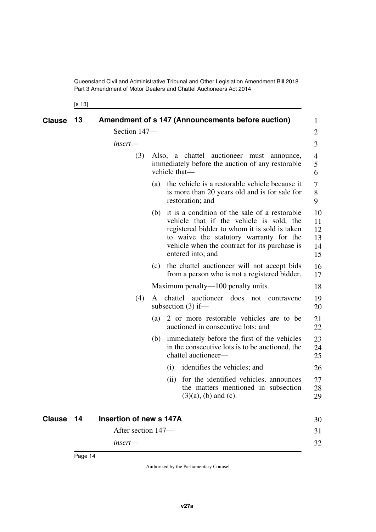<span id="page-15-1"></span><span id="page-15-0"></span>[s 13]

<span id="page-15-3"></span><span id="page-15-2"></span>

| <b>Clause</b> | 13 |                         |     |               | Amendment of s 147 (Announcements before auction)                                                                                                                                                                                                               | 1                                |
|---------------|----|-------------------------|-----|---------------|-----------------------------------------------------------------------------------------------------------------------------------------------------------------------------------------------------------------------------------------------------------------|----------------------------------|
|               |    | Section 147-            |     |               |                                                                                                                                                                                                                                                                 | 2                                |
|               |    | insert-                 |     |               |                                                                                                                                                                                                                                                                 | 3                                |
|               |    | (3)                     |     | vehicle that- | Also, a chattel auctioneer must announce,<br>immediately before the auction of any restorable                                                                                                                                                                   | 4<br>5<br>6                      |
|               |    |                         | (a) |               | the vehicle is a restorable vehicle because it<br>is more than 20 years old and is for sale for<br>restoration; and                                                                                                                                             | 7<br>8<br>9                      |
|               |    |                         |     |               | (b) it is a condition of the sale of a restorable<br>vehicle that if the vehicle is sold, the<br>registered bidder to whom it is sold is taken<br>to waive the statutory warranty for the<br>vehicle when the contract for its purchase is<br>entered into; and | 10<br>11<br>12<br>13<br>14<br>15 |
|               |    |                         |     |               | (c) the chattel auctioneer will not accept bids<br>from a person who is not a registered bidder.                                                                                                                                                                | 16<br>17                         |
|               |    |                         |     |               | Maximum penalty—100 penalty units.                                                                                                                                                                                                                              | 18                               |
|               |    | (4)                     | A   |               | chattel auctioneer does not contravene<br>subsection $(3)$ if—                                                                                                                                                                                                  | 19<br>20                         |
|               |    |                         | (a) |               | 2 or more restorable vehicles are to be<br>auctioned in consecutive lots; and                                                                                                                                                                                   | 21<br>22                         |
|               |    |                         | (b) |               | immediately before the first of the vehicles<br>in the consecutive lots is to be auctioned, the<br>chattel auctioneer-                                                                                                                                          | 23<br>24<br>25                   |
|               |    |                         |     | (i)           | identifies the vehicles; and                                                                                                                                                                                                                                    | 26                               |
|               |    |                         |     |               | (ii) for the identified vehicles, announces<br>the matters mentioned in subsection<br>$(3)(a)$ , (b) and (c).                                                                                                                                                   | 27<br>28<br>29                   |
| <b>Clause</b> | 14 | Insertion of new s 147A |     |               |                                                                                                                                                                                                                                                                 | 30                               |
|               |    | After section 147—      |     |               |                                                                                                                                                                                                                                                                 | 31                               |
|               |    | insert-                 |     |               |                                                                                                                                                                                                                                                                 | 32                               |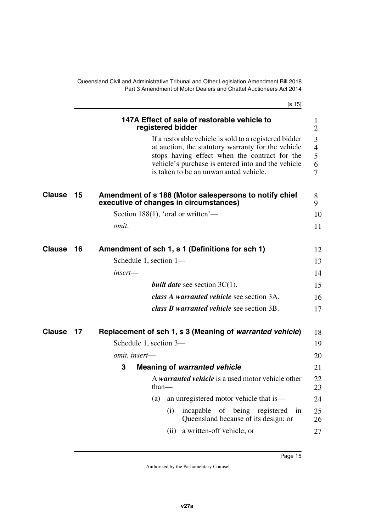<span id="page-16-9"></span><span id="page-16-8"></span><span id="page-16-7"></span><span id="page-16-6"></span><span id="page-16-5"></span><span id="page-16-4"></span><span id="page-16-3"></span><span id="page-16-2"></span><span id="page-16-1"></span><span id="page-16-0"></span>

|               |    | [s 15]                                                                                                                                                                                                                                                        |                                    |
|---------------|----|---------------------------------------------------------------------------------------------------------------------------------------------------------------------------------------------------------------------------------------------------------------|------------------------------------|
|               |    | 147A Effect of sale of restorable vehicle to<br>registered bidder                                                                                                                                                                                             | $\mathbf{1}$<br>$\overline{2}$     |
|               |    | If a restorable vehicle is sold to a registered bidder<br>at auction, the statutory warranty for the vehicle<br>stops having effect when the contract for the<br>vehicle's purchase is entered into and the vehicle<br>is taken to be an unwarranted vehicle. | 3<br>$\overline{4}$<br>5<br>6<br>7 |
| <b>Clause</b> | 15 | Amendment of s 188 (Motor salespersons to notify chief<br>executive of changes in circumstances)                                                                                                                                                              | 8<br>9                             |
|               |    | Section 188(1), 'oral or written'—                                                                                                                                                                                                                            | 10                                 |
|               |    | omit.                                                                                                                                                                                                                                                         | 11                                 |
| <b>Clause</b> | 16 | Amendment of sch 1, s 1 (Definitions for sch 1)                                                                                                                                                                                                               | 12                                 |
|               |    | Schedule 1, section $1-$                                                                                                                                                                                                                                      | 13                                 |
|               |    | $insert$ —                                                                                                                                                                                                                                                    | 14                                 |
|               |    | <i>built date</i> see section $3C(1)$ .                                                                                                                                                                                                                       | 15                                 |
|               |    | class A warranted vehicle see section 3A.                                                                                                                                                                                                                     | 16                                 |
|               |    | class <b>B</b> warranted vehicle see section 3B.                                                                                                                                                                                                              | 17                                 |
| <b>Clause</b> | 17 | Replacement of sch 1, s 3 (Meaning of warranted vehicle)                                                                                                                                                                                                      | 18                                 |
|               |    | Schedule 1, section 3—                                                                                                                                                                                                                                        | 19                                 |
|               |    | omit, insert-                                                                                                                                                                                                                                                 | 20                                 |
|               |    | 3<br><b>Meaning of warranted vehicle</b>                                                                                                                                                                                                                      | 21                                 |
|               |    | A warranted vehicle is a used motor vehicle other<br>$than-$                                                                                                                                                                                                  | 22<br>23                           |
|               |    | an unregistered motor vehicle that is—<br>(a)                                                                                                                                                                                                                 | 24                                 |
|               |    | incapable<br>of being registered<br>(i)<br>in<br>Queensland because of its design; or                                                                                                                                                                         | 25<br>26                           |
|               |    | a written-off vehicle; or<br>(ii)                                                                                                                                                                                                                             | 27                                 |
|               |    |                                                                                                                                                                                                                                                               |                                    |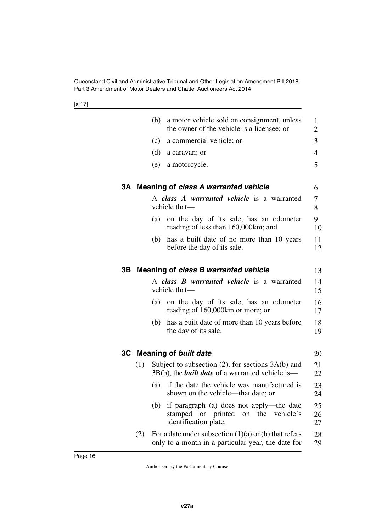[s 17]

<span id="page-17-5"></span><span id="page-17-4"></span><span id="page-17-3"></span><span id="page-17-2"></span><span id="page-17-1"></span><span id="page-17-0"></span>

|     | (b) | a motor vehicle sold on consignment, unless<br>the owner of the vehicle is a licensee; or                            | 1<br>$\overline{2}$ |
|-----|-----|----------------------------------------------------------------------------------------------------------------------|---------------------|
|     | (c) | a commercial vehicle; or                                                                                             | 3                   |
|     | (d) | a caravan; or                                                                                                        | 4                   |
|     | (e) | a motorcycle.                                                                                                        | 5                   |
| 3А  |     | Meaning of class A warranted vehicle                                                                                 | 6                   |
|     |     | A class A warranted vehicle is a warranted<br>vehicle that-                                                          | 7<br>8              |
|     | (a) | on the day of its sale, has an odometer<br>reading of less than 160,000 km; and                                      | 9<br>10             |
|     | (b) | has a built date of no more than 10 years<br>before the day of its sale.                                             | 11<br>12            |
| 3В  |     | Meaning of class B warranted vehicle                                                                                 | 13                  |
|     |     | A class <b>B</b> warranted vehicle is a warranted<br>vehicle that-                                                   | 14<br>15            |
|     | (a) | on the day of its sale, has an odometer<br>reading of 160,000km or more; or                                          | 16<br>17            |
|     | (b) | has a built date of more than 10 years before<br>the day of its sale.                                                | 18<br>19            |
|     |     | 3C Meaning of built date                                                                                             | 20                  |
| (1) |     | Subject to subsection $(2)$ , for sections $3A(b)$ and<br>$3B(b)$ , the <i>built date</i> of a warranted vehicle is— | 21<br>22            |
|     | (a) | if the date the vehicle was manufactured is<br>shown on the vehicle—that date; or                                    | 23<br>24            |
|     | (b) | if paragraph (a) does not apply—the date<br>or printed<br>stamped<br>the<br>vehicle's<br>on<br>identification plate. | 25<br>26<br>27      |
| (2) |     | For a date under subsection $(1)(a)$ or $(b)$ that refers<br>only to a month in a particular year, the date for      | 28<br>29            |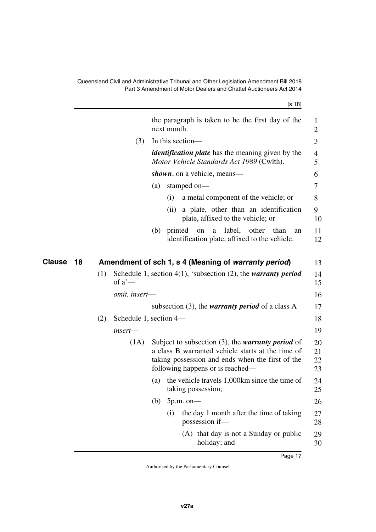<span id="page-18-1"></span><span id="page-18-0"></span>

|              |     |                        |     |             | [s 18]                                                                                                                                                                                                   |                      |
|--------------|-----|------------------------|-----|-------------|----------------------------------------------------------------------------------------------------------------------------------------------------------------------------------------------------------|----------------------|
|              |     |                        |     | next month. | the paragraph is taken to be the first day of the                                                                                                                                                        | $\mathbf{1}$<br>2    |
|              |     | (3)                    |     |             | In this section-                                                                                                                                                                                         | 3                    |
|              |     |                        |     |             | <i>identification plate</i> has the meaning given by the<br>Motor Vehicle Standards Act 1989 (Cwlth).                                                                                                    | 4<br>5               |
|              |     |                        |     |             | shown, on a vehicle, means—                                                                                                                                                                              | 6                    |
|              |     |                        | (a) |             | stamped on-                                                                                                                                                                                              | 7                    |
|              |     |                        |     | (i)         | a metal component of the vehicle; or                                                                                                                                                                     | 8                    |
|              |     |                        |     | (ii)        | a plate, other than an identification<br>plate, affixed to the vehicle; or                                                                                                                               | 9<br>10              |
|              |     |                        |     | (b) printed | label, other<br>than<br>on<br>a<br>an<br>identification plate, affixed to the vehicle.                                                                                                                   | 11<br>12             |
| Clause<br>18 |     |                        |     |             | Amendment of sch 1, s 4 (Meaning of warranty period)                                                                                                                                                     | 13                   |
|              | (1) | of $a'$ —              |     |             | Schedule 1, section 4(1), 'subsection (2), the warranty period                                                                                                                                           | 14<br>15             |
|              |     | omit, insert-          |     |             |                                                                                                                                                                                                          | 16                   |
|              |     |                        |     |             | subsection $(3)$ , the <i>warranty period</i> of a class A                                                                                                                                               | 17                   |
|              | (2) | Schedule 1, section 4— |     |             |                                                                                                                                                                                                          | 18                   |
|              |     | insert-                |     |             |                                                                                                                                                                                                          | 19                   |
|              |     | (1A)                   |     |             | Subject to subsection $(3)$ , the <i>warranty period</i> of<br>a class B warranted vehicle starts at the time of<br>taking possession and ends when the first of the<br>following happens or is reached— | 20<br>21<br>22<br>23 |
|              |     |                        | (a) |             | the vehicle travels 1,000km since the time of<br>taking possession;                                                                                                                                      | 24<br>25             |
|              |     |                        | (b) |             | $5p.m.$ on-                                                                                                                                                                                              | 26                   |
|              |     |                        |     | (i)         | the day 1 month after the time of taking<br>possession if-                                                                                                                                               | 27<br>28             |
|              |     |                        |     |             | (A) that day is not a Sunday or public<br>holiday; and                                                                                                                                                   | 29<br>30             |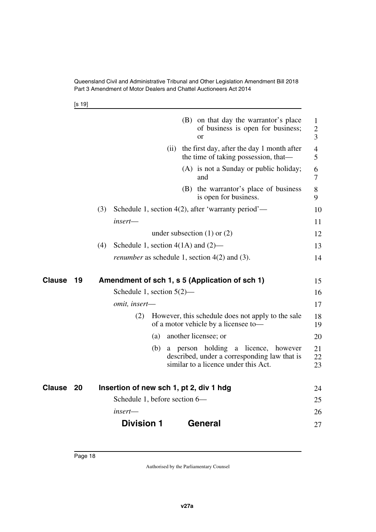<span id="page-19-5"></span>[s 19]

<span id="page-19-4"></span><span id="page-19-3"></span><span id="page-19-2"></span><span id="page-19-1"></span><span id="page-19-0"></span>

|               |    | (B) on that day the warrantor's place<br>of business is open for business;<br>$\alpha$                                                | $\mathbf{1}$<br>$\overline{c}$<br>3 |
|---------------|----|---------------------------------------------------------------------------------------------------------------------------------------|-------------------------------------|
|               |    | (ii) the first day, after the day 1 month after<br>the time of taking possession, that—                                               | $\overline{4}$<br>5                 |
|               |    | (A) is not a Sunday or public holiday;<br>and                                                                                         | 6<br>7                              |
|               |    | (B) the warrantor's place of business<br>is open for business.                                                                        | 8<br>9                              |
|               |    | Schedule 1, section 4(2), after 'warranty period'—<br>(3)                                                                             | 10                                  |
|               |    | insert—                                                                                                                               | 11                                  |
|               |    | under subsection $(1)$ or $(2)$                                                                                                       | 12                                  |
|               |    | (4)<br>Schedule 1, section $4(1A)$ and $(2)$ —                                                                                        | 13                                  |
|               |    | <i>renumber</i> as schedule 1, section $4(2)$ and $(3)$ .                                                                             | 14                                  |
| Clause        | 19 | Amendment of sch 1, s 5 (Application of sch 1)                                                                                        | 15                                  |
|               |    | Schedule 1, section $5(2)$ —                                                                                                          | 16                                  |
|               |    | omit, insert-                                                                                                                         | 17                                  |
|               |    | (2)<br>However, this schedule does not apply to the sale<br>of a motor vehicle by a licensee to-                                      | 18<br>19                            |
|               |    | another licensee; or<br>(a)                                                                                                           | 20                                  |
|               |    | a licence, however<br>a person holding<br>(b)<br>described, under a corresponding law that is<br>similar to a licence under this Act. | 21<br>22<br>23                      |
| <b>Clause</b> | 20 | Insertion of new sch 1, pt 2, div 1 hdg                                                                                               | 24                                  |
|               |    | Schedule 1, before section 6—                                                                                                         | 25                                  |
|               |    | insert—                                                                                                                               | 26                                  |
|               |    | <b>Division 1</b><br>General                                                                                                          | 27                                  |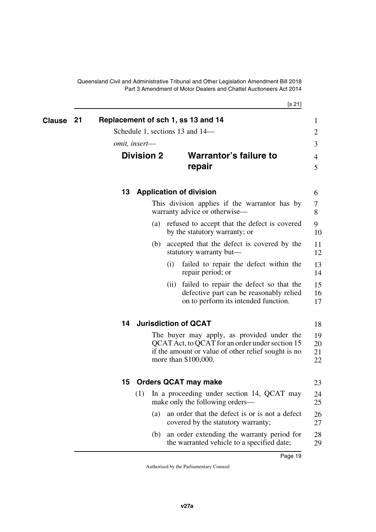<span id="page-20-3"></span>[s 21]

<span id="page-20-9"></span><span id="page-20-8"></span><span id="page-20-7"></span><span id="page-20-6"></span><span id="page-20-5"></span><span id="page-20-4"></span><span id="page-20-2"></span><span id="page-20-1"></span><span id="page-20-0"></span>

| Clause | 21 |    |                                    |      | Replacement of sch 1, ss 13 and 14<br>Schedule 1, sections 13 and 14—                                                                                                        | $\mathbf{1}$<br>2    |
|--------|----|----|------------------------------------|------|------------------------------------------------------------------------------------------------------------------------------------------------------------------------------|----------------------|
|        |    |    | omit, insert-<br><b>Division 2</b> |      | <b>Warrantor's failure to</b><br>repair                                                                                                                                      | 3<br>4<br>5          |
|        |    | 13 |                                    |      | <b>Application of division</b>                                                                                                                                               | 6                    |
|        |    |    |                                    |      | This division applies if the warrantor has by<br>warranty advice or otherwise—                                                                                               | 7<br>8               |
|        |    |    |                                    |      | (a) refused to accept that the defect is covered<br>by the statutory warranty; or                                                                                            | 9<br>10              |
|        |    |    | (b)                                |      | accepted that the defect is covered by the<br>statutory warranty but—                                                                                                        | 11<br>12             |
|        |    |    |                                    | (i)  | failed to repair the defect within the<br>repair period; or                                                                                                                  | 13<br>14             |
|        |    |    |                                    | (11) | failed to repair the defect so that the<br>defective part can be reasonably relied<br>on to perform its intended function.                                                   | 15<br>16<br>17       |
|        |    | 14 |                                    |      | <b>Jurisdiction of QCAT</b>                                                                                                                                                  | 18                   |
|        |    |    |                                    |      | The buyer may apply, as provided under the<br>QCAT Act, to QCAT for an order under section 15<br>if the amount or value of other relief sought is no<br>more than \$100,000. | 19<br>20<br>21<br>22 |
|        |    | 15 |                                    |      | <b>Orders QCAT may make</b>                                                                                                                                                  | 23                   |
|        |    |    |                                    |      | (1) In a proceeding under section 14, QCAT may<br>make only the following orders—                                                                                            | 24<br>25             |
|        |    |    | (a)                                |      | an order that the defect is or is not a defect<br>covered by the statutory warranty;                                                                                         | 26<br>27             |
|        |    |    | (b)                                |      | an order extending the warranty period for<br>the warranted vehicle to a specified date;                                                                                     | 28<br>29             |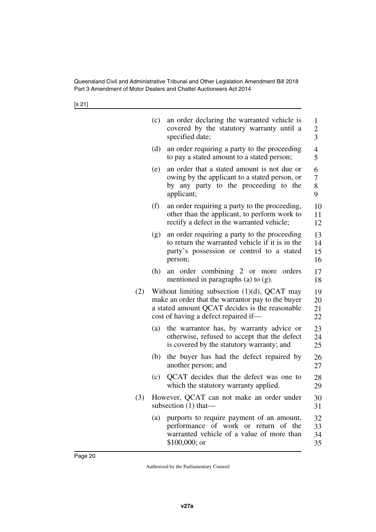[s 21]

|     | (c) | an order declaring the warranted vehicle is<br>covered by the statutory warranty until a<br>specified date;                                                                                    | $\mathbf{1}$<br>$\overline{c}$<br>$\overline{\mathbf{3}}$ |
|-----|-----|------------------------------------------------------------------------------------------------------------------------------------------------------------------------------------------------|-----------------------------------------------------------|
|     | (d) | an order requiring a party to the proceeding<br>to pay a stated amount to a stated person;                                                                                                     | 4<br>5                                                    |
|     | (e) | an order that a stated amount is not due or<br>owing by the applicant to a stated person, or<br>by any party to the proceeding to the<br>applicant;                                            | 6<br>$\overline{7}$<br>8<br>9                             |
|     | (f) | an order requiring a party to the proceeding,<br>other than the applicant, to perform work to<br>rectify a defect in the warranted vehicle;                                                    | 10<br>11<br>12                                            |
|     | (g) | an order requiring a party to the proceeding<br>to return the warranted vehicle if it is in the<br>party's possession or control to a stated<br>person;                                        | 13<br>14<br>15<br>16                                      |
|     | (h) | an order combining 2 or more<br>orders<br>mentioned in paragraphs (a) to $(g)$ .                                                                                                               | 17<br>18                                                  |
| (2) |     | Without limiting subsection $(1)(d)$ , QCAT may<br>make an order that the warrantor pay to the buyer<br>a stated amount QCAT decides is the reasonable<br>cost of having a defect repaired if— | 19<br>20<br>21<br>22                                      |
|     | (a) | the warrantor has, by warranty advice or<br>otherwise, refused to accept that the defect<br>is covered by the statutory warranty; and                                                          | 23<br>24<br>25                                            |
|     | (b) | the buyer has had the defect repaired by<br>another person; and                                                                                                                                | 26<br>27                                                  |
|     | (c) | QCAT decides that the defect was one to<br>which the statutory warranty applied.                                                                                                               | 28<br>29                                                  |
| (3) |     | However, QCAT can not make an order under<br>subsection $(1)$ that—                                                                                                                            | 30<br>31                                                  |
|     | (a) | purports to require payment of an amount,<br>performance of work or return of the<br>warranted vehicle of a value of more than<br>$$100,000;$ or                                               | 32<br>33<br>34<br>35                                      |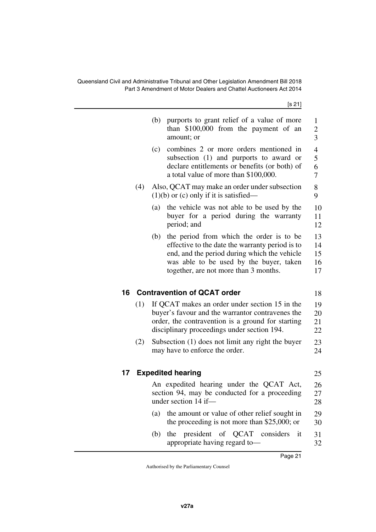[s 21]

<span id="page-22-3"></span><span id="page-22-2"></span><span id="page-22-1"></span><span id="page-22-0"></span>

|       |     | purports to grant relief of a value of more<br>(b)<br>than \$100,000 from the payment of an<br>amount; or                                                                                                                              | $\mathbf{1}$<br>$\overline{c}$<br>$\overline{3}$ |
|-------|-----|----------------------------------------------------------------------------------------------------------------------------------------------------------------------------------------------------------------------------------------|--------------------------------------------------|
|       |     | combines 2 or more orders mentioned in<br>(c)<br>subsection (1) and purports to award or<br>declare entitlements or benefits (or both) of<br>a total value of more than \$100,000.                                                     | $\overline{4}$<br>5<br>6<br>7                    |
|       | (4) | Also, QCAT may make an order under subsection<br>$(1)(b)$ or $(c)$ only if it is satisfied—                                                                                                                                            | 8<br>9                                           |
|       |     | the vehicle was not able to be used by the<br>(a)<br>buyer for a period during the warranty<br>period; and                                                                                                                             | 10<br>11<br>12                                   |
|       |     | the period from which the order is to be<br>(b)<br>effective to the date the warranty period is to<br>end, and the period during which the vehicle<br>was able to be used by the buyer, taken<br>together, are not more than 3 months. | 13<br>14<br>15<br>16<br>17                       |
| 16    |     | <b>Contravention of QCAT order</b>                                                                                                                                                                                                     | 18                                               |
|       | (1) | If QCAT makes an order under section 15 in the<br>buyer's favour and the warrantor contravenes the<br>order, the contravention is a ground for starting<br>disciplinary proceedings under section 194.                                 | 19<br>20<br>21<br>22                             |
|       | (2) | Subsection (1) does not limit any right the buyer<br>may have to enforce the order.                                                                                                                                                    | 23<br>24                                         |
| $17-$ |     | <b>Expedited hearing</b>                                                                                                                                                                                                               | 25                                               |
|       |     | An expedited hearing under the QCAT Act,<br>section 94, may be conducted for a proceeding<br>under section 14 if-                                                                                                                      | 26<br>27<br>28                                   |
|       |     | (a)<br>the amount or value of other relief sought in<br>the proceeding is not more than \$25,000; or                                                                                                                                   | 29<br>30                                         |
|       |     | president<br>of QCAT considers<br>(b)<br>the<br>it<br>appropriate having regard to-                                                                                                                                                    | 31<br>32                                         |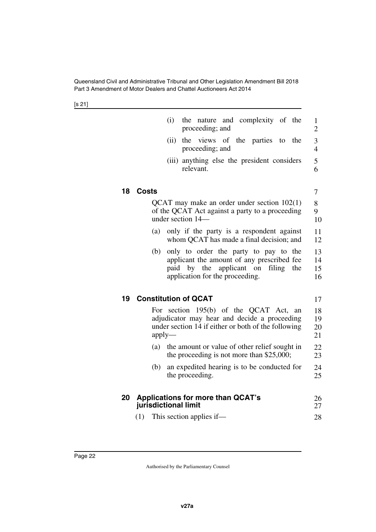[s 21]

<span id="page-23-5"></span><span id="page-23-4"></span><span id="page-23-3"></span><span id="page-23-2"></span><span id="page-23-1"></span><span id="page-23-0"></span>**18 Costs**

|    |              | (i)<br>nature and complexity of the<br>the<br>proceeding; and                                                                                                       | 1<br>$\overline{2}$  |
|----|--------------|---------------------------------------------------------------------------------------------------------------------------------------------------------------------|----------------------|
|    |              | the views of the parties to<br>(ii)<br>the<br>proceeding; and                                                                                                       | 3<br>$\overline{4}$  |
|    |              | (iii) anything else the president considers<br>relevant.                                                                                                            | 5<br>6               |
| 18 | <b>Costs</b> |                                                                                                                                                                     | 7                    |
|    |              | QCAT may make an order under section $102(1)$<br>of the QCAT Act against a party to a proceeding<br>under section 14-                                               | 8<br>9<br>10         |
|    | (a)          | only if the party is a respondent against<br>whom QCAT has made a final decision; and                                                                               | 11<br>12             |
|    | (b)          | only to order the party to pay to the<br>applicant the amount of any prescribed fee<br>paid by the applicant on<br>filing<br>the<br>application for the proceeding. | 13<br>14<br>15<br>16 |
| 19 |              | <b>Constitution of QCAT</b>                                                                                                                                         | 17                   |
|    |              | For section 195(b) of the QCAT Act,<br>an<br>adjudicator may hear and decide a proceeding<br>under section 14 if either or both of the following<br>$apply-$        | 18<br>19<br>20<br>21 |
|    |              | (a) the amount or value of other relief sought in<br>the proceeding is not more than $$25,000;$                                                                     | 22<br>23             |
|    | (b)          | an expedited hearing is to be conducted for<br>the proceeding.                                                                                                      | 24<br>25             |
| 20 |              | <b>Applications for more than QCAT's</b><br>jurisdictional limit                                                                                                    | 26<br>27             |
|    |              | $(1)$ This section applies if—                                                                                                                                      | 28                   |
|    |              |                                                                                                                                                                     |                      |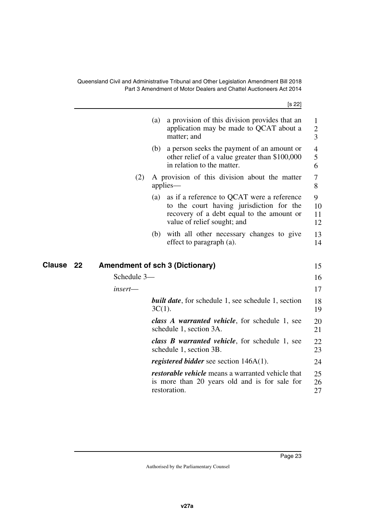<span id="page-24-1"></span><span id="page-24-0"></span>

|              |     | [s 22]                                                                                                                                                             |                          |
|--------------|-----|--------------------------------------------------------------------------------------------------------------------------------------------------------------------|--------------------------|
|              | (a) | a provision of this division provides that an<br>application may be made to QCAT about a<br>matter; and                                                            | 1<br>$\overline{2}$<br>3 |
|              | (b) | a person seeks the payment of an amount or<br>other relief of a value greater than \$100,000<br>in relation to the matter.                                         | 4<br>5<br>6              |
|              | (2) | A provision of this division about the matter<br>applies—                                                                                                          | 7<br>8                   |
|              | (a) | as if a reference to QCAT were a reference<br>to the court having jurisdiction for the<br>recovery of a debt equal to the amount or<br>value of relief sought; and | 9<br>10<br>11<br>12      |
|              | (b) | with all other necessary changes to give<br>effect to paragraph (a).                                                                                               | 13<br>14                 |
| Clause<br>22 |     | <b>Amendment of sch 3 (Dictionary)</b>                                                                                                                             | 15                       |
| Schedule 3-  |     |                                                                                                                                                                    | 16                       |
| insert—      |     |                                                                                                                                                                    | 17                       |
|              |     | <b>built date</b> , for schedule 1, see schedule 1, section<br>$3C(1)$ .                                                                                           | 18<br>19                 |
|              |     | class A warranted vehicle, for schedule 1, see<br>schedule 1, section 3A.                                                                                          | 20<br>21                 |
|              |     | class <b>B</b> warranted vehicle, for schedule 1, see<br>schedule 1, section 3B.                                                                                   | 22<br>23                 |
|              |     | <i>registered bidder</i> see section $146A(1)$ .                                                                                                                   | 24                       |
|              |     | <i>restorable vehicle</i> means a warranted vehicle that<br>is more than 20 years old and is for sale for<br>restoration.                                          | 25<br>26<br>27           |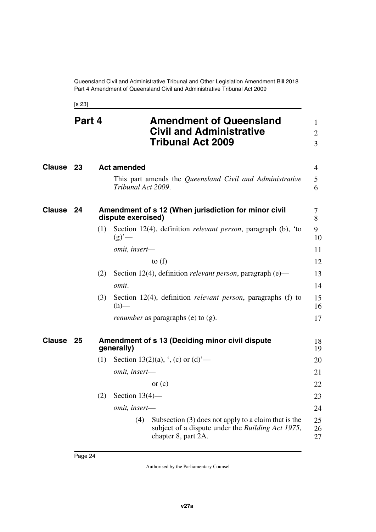<span id="page-25-5"></span><span id="page-25-3"></span><span id="page-25-2"></span><span id="page-25-1"></span><span id="page-25-0"></span>[s 23]

<span id="page-25-7"></span><span id="page-25-6"></span><span id="page-25-4"></span>

| Clause 23<br><b>Act amended</b><br>This part amends the Queensland Civil and Administrative<br>Tribunal Act 2009.<br><b>Clause</b><br>Amendment of s 12 (When jurisdiction for minor civil<br>-24<br>dispute exercised)<br>Section 12(4), definition <i>relevant person</i> , paragraph (b), 'to<br>(1)<br>(g)'<br>omit, insert-<br>to $(f)$<br>Section 12(4), definition relevant person, paragraph (e)-<br>(2)<br>omit.<br>Section 12(4), definition relevant person, paragraphs (f) to<br>(3)<br>$(h)$ —<br><i>renumber</i> as paragraphs (e) to (g).<br>Amendment of s 13 (Deciding minor civil dispute<br>Clause<br>25 | $\overline{4}$<br>5<br>6<br>7<br>8<br>9<br>10<br>11 |
|-----------------------------------------------------------------------------------------------------------------------------------------------------------------------------------------------------------------------------------------------------------------------------------------------------------------------------------------------------------------------------------------------------------------------------------------------------------------------------------------------------------------------------------------------------------------------------------------------------------------------------|-----------------------------------------------------|
|                                                                                                                                                                                                                                                                                                                                                                                                                                                                                                                                                                                                                             |                                                     |
|                                                                                                                                                                                                                                                                                                                                                                                                                                                                                                                                                                                                                             |                                                     |
|                                                                                                                                                                                                                                                                                                                                                                                                                                                                                                                                                                                                                             |                                                     |
|                                                                                                                                                                                                                                                                                                                                                                                                                                                                                                                                                                                                                             |                                                     |
|                                                                                                                                                                                                                                                                                                                                                                                                                                                                                                                                                                                                                             |                                                     |
|                                                                                                                                                                                                                                                                                                                                                                                                                                                                                                                                                                                                                             | 12                                                  |
|                                                                                                                                                                                                                                                                                                                                                                                                                                                                                                                                                                                                                             | 13                                                  |
|                                                                                                                                                                                                                                                                                                                                                                                                                                                                                                                                                                                                                             | 14                                                  |
|                                                                                                                                                                                                                                                                                                                                                                                                                                                                                                                                                                                                                             | 15<br>16                                            |
|                                                                                                                                                                                                                                                                                                                                                                                                                                                                                                                                                                                                                             | 17                                                  |
| generally)                                                                                                                                                                                                                                                                                                                                                                                                                                                                                                                                                                                                                  | 18<br>19                                            |
| Section 13(2)(a), $\cdot$ , (c) or (d) <sup>-</sup> —<br>(1)                                                                                                                                                                                                                                                                                                                                                                                                                                                                                                                                                                | 20                                                  |
| omit, insert-                                                                                                                                                                                                                                                                                                                                                                                                                                                                                                                                                                                                               | 21                                                  |
| or $(c)$                                                                                                                                                                                                                                                                                                                                                                                                                                                                                                                                                                                                                    | 22                                                  |
| (2)<br>Section $13(4)$ —                                                                                                                                                                                                                                                                                                                                                                                                                                                                                                                                                                                                    | 23                                                  |
| omit, insert-                                                                                                                                                                                                                                                                                                                                                                                                                                                                                                                                                                                                               | 24                                                  |
| (4)<br>Subsection $(3)$ does not apply to a claim that is the<br>subject of a dispute under the Building Act 1975,<br>chapter 8, part 2A.                                                                                                                                                                                                                                                                                                                                                                                                                                                                                   | 25<br>26<br>27                                      |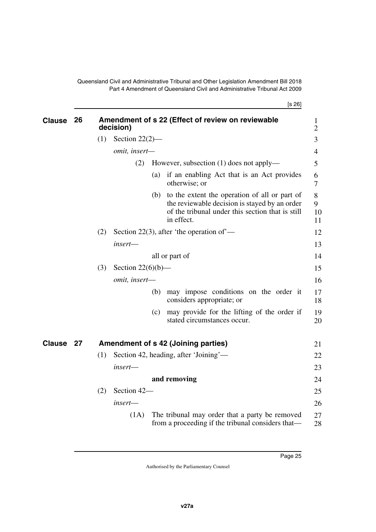[s 26]

<span id="page-26-3"></span><span id="page-26-2"></span><span id="page-26-1"></span><span id="page-26-0"></span>

| <b>Clause</b> | 26 | Amendment of s 22 (Effect of review on reviewable<br>decision) |                      |     |                                                                                                                                                                  |                     |
|---------------|----|----------------------------------------------------------------|----------------------|-----|------------------------------------------------------------------------------------------------------------------------------------------------------------------|---------------------|
|               |    | (1)                                                            | Section $22(2)$ —    |     |                                                                                                                                                                  | 3                   |
|               |    |                                                                | omit, insert-        |     |                                                                                                                                                                  | $\overline{4}$      |
|               |    |                                                                | (2)                  |     | However, subsection (1) does not apply—                                                                                                                          | 5                   |
|               |    |                                                                |                      | (a) | if an enabling Act that is an Act provides<br>otherwise; or                                                                                                      | 6<br>$\overline{7}$ |
|               |    |                                                                |                      | (b) | to the extent the operation of all or part of<br>the reviewable decision is stayed by an order<br>of the tribunal under this section that is still<br>in effect. | 8<br>9<br>10<br>11  |
|               |    | (2)                                                            |                      |     | Section 22(3), after 'the operation of'—                                                                                                                         | 12                  |
|               |    |                                                                | insert-              |     |                                                                                                                                                                  | 13                  |
|               |    |                                                                |                      |     | all or part of                                                                                                                                                   | 14                  |
|               |    | (3)                                                            | Section $22(6)(b)$ — |     |                                                                                                                                                                  | 15                  |
|               |    |                                                                | omit, insert-        |     |                                                                                                                                                                  | 16                  |
|               |    |                                                                |                      | (b) | may impose conditions on the order it<br>considers appropriate; or                                                                                               | 17<br>18            |
|               |    |                                                                |                      | (c) | may provide for the lifting of the order if<br>stated circumstances occur.                                                                                       | 19<br>20            |
| <b>Clause</b> | 27 |                                                                |                      |     | Amendment of s 42 (Joining parties)                                                                                                                              | 21                  |
|               |    | (1)                                                            |                      |     | Section 42, heading, after 'Joining'—                                                                                                                            | 22                  |
|               |    |                                                                | $insert$ —           |     |                                                                                                                                                                  | 23                  |
|               |    |                                                                |                      |     | and removing                                                                                                                                                     | 24                  |
|               |    | (2)                                                            | Section 42-          |     |                                                                                                                                                                  | 25                  |
|               |    |                                                                | insert—              |     |                                                                                                                                                                  | 26                  |
|               |    |                                                                | (1A)                 |     | The tribunal may order that a party be removed<br>from a proceeding if the tribunal considers that—                                                              | 27<br>28            |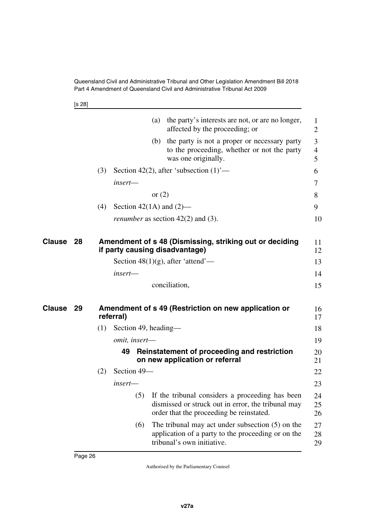[s 28]

<span id="page-27-3"></span><span id="page-27-2"></span><span id="page-27-1"></span><span id="page-27-0"></span>

|               |    |     |           | (a)                  | the party's interests are not, or are no longer,<br>affected by the proceeding; or                                                                    | 1<br>$\overline{2}$      |
|---------------|----|-----|-----------|----------------------|-------------------------------------------------------------------------------------------------------------------------------------------------------|--------------------------|
|               |    |     |           |                      | (b) the party is not a proper or necessary party<br>to the proceeding, whether or not the party<br>was one originally.                                | 3<br>$\overline{4}$<br>5 |
|               |    | (3) |           |                      | Section 42(2), after 'subsection $(1)$ '—                                                                                                             | 6                        |
|               |    |     | insert-   |                      |                                                                                                                                                       | 7                        |
|               |    |     |           |                      | or $(2)$                                                                                                                                              | 8                        |
|               |    | (4) |           |                      | Section 42(1A) and $(2)$ —                                                                                                                            | 9                        |
|               |    |     |           |                      | <i>renumber</i> as section $42(2)$ and $(3)$ .                                                                                                        | 10                       |
| Clause 28     |    |     |           |                      | Amendment of s 48 (Dismissing, striking out or deciding<br>if party causing disadvantage)                                                             | 11<br>12                 |
|               |    |     |           |                      | Section $48(1)(g)$ , after 'attend'—                                                                                                                  | 13                       |
|               |    |     | insert-   |                      |                                                                                                                                                       | 14                       |
|               |    |     |           |                      | conciliation,                                                                                                                                         | 15                       |
| <b>Clause</b> | 29 |     | referral) |                      | Amendment of s 49 (Restriction on new application or                                                                                                  | 16<br>17                 |
|               |    | (1) |           | Section 49, heading— |                                                                                                                                                       | 18                       |
|               |    |     |           | omit, insert-        |                                                                                                                                                       | 19                       |
|               |    |     | 49        |                      | Reinstatement of proceeding and restriction<br>on new application or referral                                                                         | 20<br>21                 |
|               |    | (2) |           | Section 49-          |                                                                                                                                                       | 22                       |
|               |    |     | insert-   |                      |                                                                                                                                                       | 23                       |
|               |    |     |           |                      | (5) If the tribunal considers a proceeding has been<br>dismissed or struck out in error, the tribunal may<br>order that the proceeding be reinstated. | 24<br>25<br>26           |
|               |    |     |           | (6)                  | The tribunal may act under subsection $(5)$ on the<br>application of a party to the proceeding or on the<br>tribunal's own initiative.                | 27<br>28<br>29           |
|               |    |     |           |                      |                                                                                                                                                       |                          |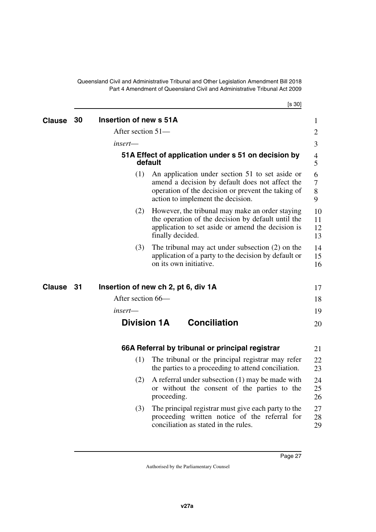<span id="page-28-7"></span>[s 30]

<span id="page-28-9"></span><span id="page-28-8"></span><span id="page-28-6"></span><span id="page-28-5"></span><span id="page-28-4"></span><span id="page-28-3"></span><span id="page-28-2"></span><span id="page-28-1"></span><span id="page-28-0"></span>

| <b>Clause</b> | 30   | Insertion of new s 51A              |                  |                                                                                                                                                                                               | $\mathbf 1$                       |
|---------------|------|-------------------------------------|------------------|-----------------------------------------------------------------------------------------------------------------------------------------------------------------------------------------------|-----------------------------------|
|               |      | After section 51-                   |                  |                                                                                                                                                                                               | $\overline{2}$                    |
|               |      | insert—                             |                  |                                                                                                                                                                                               | 3                                 |
|               |      |                                     | default          | 51A Effect of application under s 51 on decision by                                                                                                                                           | $\overline{\mathcal{A}}$<br>5     |
|               |      | (1)                                 |                  | An application under section 51 to set aside or<br>amend a decision by default does not affect the<br>operation of the decision or prevent the taking of<br>action to implement the decision. | 6<br>$\overline{7}$<br>$8\,$<br>9 |
|               |      | (2)                                 | finally decided. | However, the tribunal may make an order staying<br>the operation of the decision by default until the<br>application to set aside or amend the decision is                                    | 10<br>11<br>12<br>13              |
|               |      | (3)                                 |                  | The tribunal may act under subsection $(2)$ on the<br>application of a party to the decision by default or<br>on its own initiative.                                                          | 14<br>15<br>16                    |
| <b>Clause</b> | - 31 | Insertion of new ch 2, pt 6, div 1A |                  |                                                                                                                                                                                               | 17                                |
|               |      | After section 66-                   |                  |                                                                                                                                                                                               | 18                                |
|               |      | insert—                             |                  |                                                                                                                                                                                               | 19                                |
|               |      | <b>Division 1A</b>                  |                  | <b>Conciliation</b>                                                                                                                                                                           | 20                                |
|               |      |                                     |                  | 66A Referral by tribunal or principal registrar                                                                                                                                               | 21                                |
|               |      | (1)                                 |                  | The tribunal or the principal registrar may refer<br>the parties to a proceeding to attend conciliation.                                                                                      | 22<br>23                          |
|               |      | (2)                                 | proceeding.      | A referral under subsection (1) may be made with<br>or without the consent of the parties to the                                                                                              | 24<br>25<br>26                    |
|               |      | (3)                                 |                  | The principal registrar must give each party to the<br>proceeding written notice of the referral for<br>conciliation as stated in the rules.                                                  | 27<br>28<br>29                    |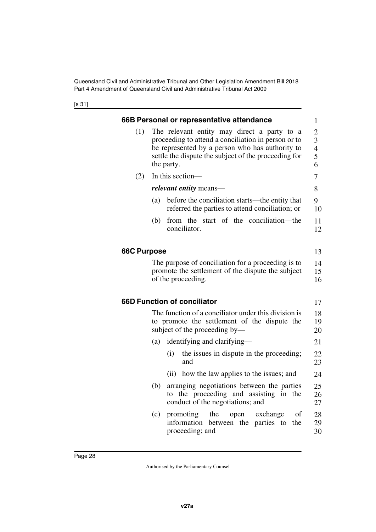<span id="page-29-5"></span><span id="page-29-4"></span><span id="page-29-3"></span><span id="page-29-2"></span><span id="page-29-1"></span><span id="page-29-0"></span>

|                    | 66B Personal or representative attendance                                                                                                                                                                                   | 1              |  |  |  |  |  |
|--------------------|-----------------------------------------------------------------------------------------------------------------------------------------------------------------------------------------------------------------------------|----------------|--|--|--|--|--|
| (1)                | The relevant entity may direct a party to a<br>proceeding to attend a conciliation in person or to<br>be represented by a person who has authority to<br>settle the dispute the subject of the proceeding for<br>the party. |                |  |  |  |  |  |
| (2)                | In this section-                                                                                                                                                                                                            |                |  |  |  |  |  |
|                    | <i>relevant entity</i> means—                                                                                                                                                                                               |                |  |  |  |  |  |
|                    | before the conciliation starts—the entity that<br>(a)<br>referred the parties to attend conciliation; or                                                                                                                    |                |  |  |  |  |  |
|                    | from the start of the conciliation—the<br>(b)<br>conciliator.                                                                                                                                                               | 11<br>12       |  |  |  |  |  |
| <b>66C Purpose</b> |                                                                                                                                                                                                                             | 13             |  |  |  |  |  |
|                    | The purpose of conciliation for a proceeding is to<br>promote the settlement of the dispute the subject<br>of the proceeding.                                                                                               | 14<br>15<br>16 |  |  |  |  |  |
|                    | <b>66D Function of conciliator</b>                                                                                                                                                                                          | 17             |  |  |  |  |  |
|                    | The function of a conciliator under this division is<br>to promote the settlement of the dispute the<br>subject of the proceeding by—                                                                                       | 18<br>19<br>20 |  |  |  |  |  |
|                    | identifying and clarifying—<br>(a)                                                                                                                                                                                          | 21             |  |  |  |  |  |
|                    | the issues in dispute in the proceeding;<br>(i)<br>and                                                                                                                                                                      | 22<br>23       |  |  |  |  |  |
|                    | how the law applies to the issues; and<br>(i)                                                                                                                                                                               | 24             |  |  |  |  |  |
|                    | arranging negotiations between the parties<br>(b)<br>to the proceeding and assisting in the<br>conduct of the negotiations; and                                                                                             | 25<br>26<br>27 |  |  |  |  |  |
|                    | the<br>(c)<br>promoting<br>exchange<br>οf<br>open<br>information between the<br>parties to<br>the<br>proceeding; and                                                                                                        | 28<br>29<br>30 |  |  |  |  |  |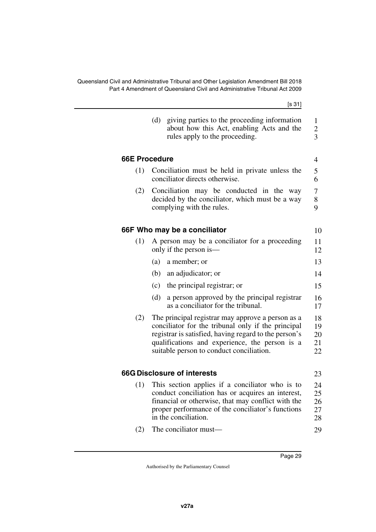<span id="page-30-5"></span><span id="page-30-4"></span><span id="page-30-3"></span><span id="page-30-2"></span><span id="page-30-1"></span><span id="page-30-0"></span>

| [s 31]                                                                                                                                                                                                                                                         |                      |
|----------------------------------------------------------------------------------------------------------------------------------------------------------------------------------------------------------------------------------------------------------------|----------------------|
| (d)<br>giving parties to the proceeding information<br>about how this Act, enabling Acts and the<br>rules apply to the proceeding.                                                                                                                             |                      |
|                                                                                                                                                                                                                                                                | <b>66E Procedure</b> |
| Conciliation must be held in private unless the<br>conciliator directs otherwise.                                                                                                                                                                              | (1)                  |
| Conciliation may be conducted in the way<br>decided by the conciliator, which must be a way<br>complying with the rules.                                                                                                                                       | (2)                  |
| 66F Who may be a conciliator                                                                                                                                                                                                                                   |                      |
| A person may be a conciliator for a proceeding<br>only if the person is—                                                                                                                                                                                       | (1)                  |
| (a)<br>a member; or                                                                                                                                                                                                                                            |                      |
| (b) an adjudicator; or                                                                                                                                                                                                                                         |                      |
| the principal registrar; or<br>(c)                                                                                                                                                                                                                             |                      |
| a person approved by the principal registrar<br>(d)<br>as a conciliator for the tribunal.                                                                                                                                                                      |                      |
| The principal registrar may approve a person as a<br>conciliator for the tribunal only if the principal<br>registrar is satisfied, having regard to the person's<br>qualifications and experience, the person is a<br>suitable person to conduct conciliation. | (2)                  |
| <b>66G Disclosure of interests</b>                                                                                                                                                                                                                             |                      |
| (1) This section applies if a conciliator who is to<br>conduct conciliation has or acquires an interest,<br>financial or otherwise, that may conflict with the<br>proper performance of the conciliator's functions<br>in the conciliation.                    |                      |
| The conciliator must—                                                                                                                                                                                                                                          | (2)                  |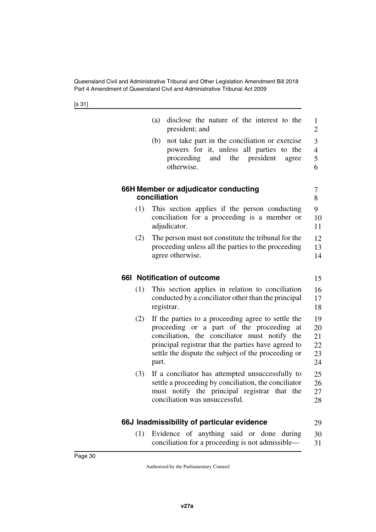[s 31]

<span id="page-31-5"></span><span id="page-31-4"></span><span id="page-31-3"></span><span id="page-31-2"></span><span id="page-31-1"></span><span id="page-31-0"></span>

|     | disclose the nature of the interest to the<br>(a)<br>president; and                                                                                                                                                                                                     | 1<br>$\overline{2}$                     |
|-----|-------------------------------------------------------------------------------------------------------------------------------------------------------------------------------------------------------------------------------------------------------------------------|-----------------------------------------|
|     | not take part in the conciliation or exercise<br>(b)<br>powers for it, unless all parties to the<br>proceeding and the president<br>agree<br>otherwise.                                                                                                                 | 3<br>$\overline{\mathcal{A}}$<br>5<br>6 |
|     | 66H Member or adjudicator conducting<br>conciliation                                                                                                                                                                                                                    | 7<br>8                                  |
| (1) | This section applies if the person conducting<br>conciliation for a proceeding is a member or<br>adjudicator.                                                                                                                                                           | 9<br>10<br>11                           |
| (2) | The person must not constitute the tribunal for the<br>proceeding unless all the parties to the proceeding<br>agree otherwise.                                                                                                                                          | 12<br>13<br>14                          |
|     | 661 Notification of outcome                                                                                                                                                                                                                                             | 15                                      |
| (1) | This section applies in relation to conciliation<br>conducted by a conciliator other than the principal<br>registrar.                                                                                                                                                   | 16<br>17<br>18                          |
| (2) | If the parties to a proceeding agree to settle the<br>proceeding or a part of the proceeding at<br>conciliation, the conciliator must notify the<br>principal registrar that the parties have agreed to<br>settle the dispute the subject of the proceeding or<br>part. | 19<br>20<br>21<br>22<br>23<br>24        |
| (3) | If a conciliator has attempted unsuccessfully to<br>settle a proceeding by conciliation, the conciliator<br>must notify the principal registrar that the<br>conciliation was unsuccessful.                                                                              | 25<br>26<br>27<br>28                    |
|     | 66J Inadmissibility of particular evidence                                                                                                                                                                                                                              | 29                                      |
| (1) | Evidence of anything said or done during<br>conciliation for a proceeding is not admissible-                                                                                                                                                                            | 30<br>31                                |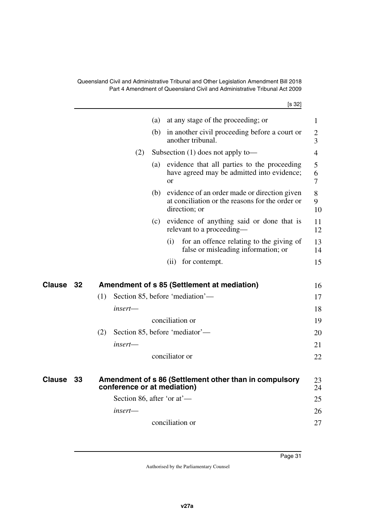[s 32]

<span id="page-32-3"></span><span id="page-32-2"></span><span id="page-32-1"></span><span id="page-32-0"></span>

|               |    | ני טי                                                                                                                   |                          |
|---------------|----|-------------------------------------------------------------------------------------------------------------------------|--------------------------|
|               |    | at any stage of the proceeding; or<br>(a)                                                                               | 1                        |
|               |    | in another civil proceeding before a court or<br>(b)<br>another tribunal.                                               | $\overline{2}$<br>3      |
|               |    | Subsection $(1)$ does not apply to —<br>(2)                                                                             | $\overline{4}$           |
|               |    | evidence that all parties to the proceeding<br>(a)<br>have agreed may be admitted into evidence;<br>$\alpha$ r          | 5<br>6<br>$\overline{7}$ |
|               |    | evidence of an order made or direction given<br>(b)<br>at conciliation or the reasons for the order or<br>direction; or | 8<br>9<br>10             |
|               |    | evidence of anything said or done that is<br>(c)<br>relevant to a proceeding—                                           | 11<br>12                 |
|               |    | for an offence relating to the giving of<br>(i)<br>false or misleading information; or                                  | 13<br>14                 |
|               |    | for contempt.<br>(ii)                                                                                                   | 15                       |
| Clause        | 32 | Amendment of s 85 (Settlement at mediation)                                                                             | 16                       |
|               |    | Section 85, before 'mediation'—<br>(1)                                                                                  | 17                       |
|               |    | insert—                                                                                                                 | 18                       |
|               |    | conciliation or                                                                                                         | 19                       |
|               |    | Section 85, before 'mediator'—<br>(2)                                                                                   | 20                       |
|               |    | $insert$ —                                                                                                              |                          |
|               |    |                                                                                                                         | 21                       |
|               |    | conciliator or                                                                                                          | 22                       |
| <b>Clause</b> | 33 | Amendment of s 86 (Settlement other than in compulsory<br>conference or at mediation)                                   | 23<br>24                 |
|               |    | Section 86, after 'or at'—                                                                                              | 25                       |
|               |    | insert—                                                                                                                 | 26                       |
|               |    | conciliation or                                                                                                         | 27                       |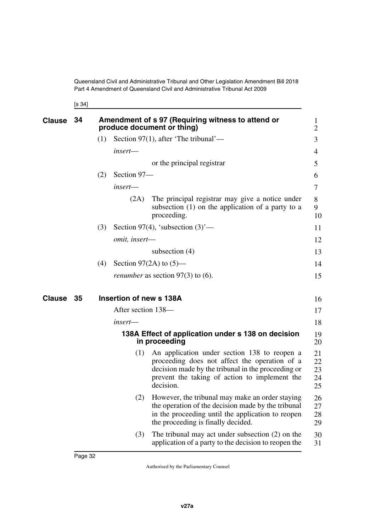<span id="page-33-1"></span><span id="page-33-0"></span>[s 34]

<span id="page-33-5"></span><span id="page-33-4"></span><span id="page-33-3"></span><span id="page-33-2"></span>Page 32

| <b>Clause</b> | 34 |     |                         | Amendment of s 97 (Requiring witness to attend or<br>produce document or thing)                                                                                                                                   | 1<br>$\overline{2}$        |
|---------------|----|-----|-------------------------|-------------------------------------------------------------------------------------------------------------------------------------------------------------------------------------------------------------------|----------------------------|
|               |    | (1) |                         | Section 97(1), after 'The tribunal'—                                                                                                                                                                              | 3                          |
|               |    |     | insert—                 |                                                                                                                                                                                                                   | 4                          |
|               |    |     |                         | or the principal registrar                                                                                                                                                                                        | 5                          |
|               |    | (2) | Section 97-             |                                                                                                                                                                                                                   | 6                          |
|               |    |     | insert-                 |                                                                                                                                                                                                                   | 7                          |
|               |    |     | (2A)                    | The principal registrar may give a notice under<br>subsection $(1)$ on the application of a party to a<br>proceeding.                                                                                             | 8<br>9<br>10               |
|               |    | (3) |                         | Section 97(4), 'subsection $(3)$ '—                                                                                                                                                                               | 11                         |
|               |    |     | omit, insert-           |                                                                                                                                                                                                                   | 12                         |
|               |    |     |                         | subsection $(4)$                                                                                                                                                                                                  | 13                         |
|               |    | (4) |                         | Section 97(2A) to $(5)$ —                                                                                                                                                                                         | 14                         |
|               |    |     |                         | <i>renumber</i> as section $97(3)$ to (6).                                                                                                                                                                        | 15                         |
| <b>Clause</b> | 35 |     | Insertion of new s 138A |                                                                                                                                                                                                                   | 16                         |
|               |    |     | After section 138—      |                                                                                                                                                                                                                   | 17                         |
|               |    |     | insert—                 |                                                                                                                                                                                                                   | 18                         |
|               |    |     |                         | 138A Effect of application under s 138 on decision<br>in proceeding                                                                                                                                               | 19<br>20                   |
|               |    |     | (1)                     | An application under section 138 to reopen a<br>proceeding does not affect the operation of a<br>decision made by the tribunal in the proceeding or<br>prevent the taking of action to implement the<br>decision. | 21<br>22<br>23<br>24<br>25 |
|               |    |     | (2)                     | However, the tribunal may make an order staying<br>the operation of the decision made by the tribunal<br>in the proceeding until the application to reopen<br>the proceeding is finally decided.                  | 26<br>27<br>28<br>29       |
|               |    |     | (3)                     | The tribunal may act under subsection $(2)$ on the<br>application of a party to the decision to reopen the                                                                                                        | 30<br>31                   |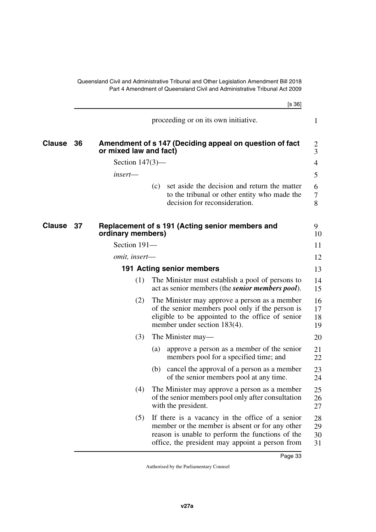<span id="page-34-5"></span><span id="page-34-4"></span><span id="page-34-3"></span><span id="page-34-2"></span><span id="page-34-1"></span><span id="page-34-0"></span>

|        |    |                        |     | [s 36]                                                                                                                                                                                                    |                      |
|--------|----|------------------------|-----|-----------------------------------------------------------------------------------------------------------------------------------------------------------------------------------------------------------|----------------------|
|        |    |                        |     | proceeding or on its own initiative.                                                                                                                                                                      | $\mathbf{1}$         |
| Clause | 36 | or mixed law and fact) |     | Amendment of s 147 (Deciding appeal on question of fact                                                                                                                                                   | 2<br>3               |
|        |    | Section $147(3)$ —     |     |                                                                                                                                                                                                           | 4                    |
|        |    | insert-                |     |                                                                                                                                                                                                           | 5                    |
|        |    |                        | (c) | set aside the decision and return the matter<br>to the tribunal or other entity who made the<br>decision for reconsideration.                                                                             | 6<br>7<br>8          |
| Clause | 37 | ordinary members)      |     | Replacement of s 191 (Acting senior members and                                                                                                                                                           | 9<br>10              |
|        |    | Section 191-           |     |                                                                                                                                                                                                           | 11                   |
|        |    | <i>omit, insert—</i>   |     |                                                                                                                                                                                                           | 12                   |
|        |    |                        |     | 191 Acting senior members                                                                                                                                                                                 | 13                   |
|        |    | (1)                    |     | The Minister must establish a pool of persons to<br>act as senior members (the <i>senior members pool</i> ).                                                                                              | 14<br>15             |
|        |    | (2)                    |     | The Minister may approve a person as a member<br>of the senior members pool only if the person is<br>eligible to be appointed to the office of senior<br>member under section 183(4).                     | 16<br>17<br>18<br>19 |
|        |    | (3)                    |     | The Minister may—                                                                                                                                                                                         | 20                   |
|        |    |                        | (a) | approve a person as a member of the senior<br>members pool for a specified time; and                                                                                                                      | 21<br>22             |
|        |    |                        | (b) | cancel the approval of a person as a member<br>of the senior members pool at any time.                                                                                                                    | 23<br>24             |
|        |    | (4)                    |     | The Minister may approve a person as a member<br>of the senior members pool only after consultation<br>with the president.                                                                                | 25<br>26<br>27       |
|        |    | (5)                    |     | If there is a vacancy in the office of a senior<br>member or the member is absent or for any other<br>reason is unable to perform the functions of the<br>office, the president may appoint a person from | 28<br>29<br>30<br>31 |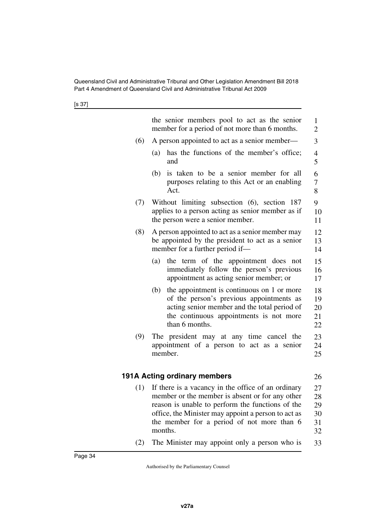<span id="page-35-1"></span><span id="page-35-0"></span>

|     | the senior members pool to act as the senior<br>member for a period of not more than 6 months.                                                                                                                                                                            | 1<br>$\overline{2}$              |
|-----|---------------------------------------------------------------------------------------------------------------------------------------------------------------------------------------------------------------------------------------------------------------------------|----------------------------------|
| (6) | A person appointed to act as a senior member—                                                                                                                                                                                                                             | 3                                |
|     | has the functions of the member's office;<br>(a)<br>and                                                                                                                                                                                                                   | $\overline{4}$<br>5              |
|     | is taken to be a senior member for all<br>(b)<br>purposes relating to this Act or an enabling<br>Act.                                                                                                                                                                     | 6<br>$\overline{7}$<br>8         |
| (7) | Without limiting subsection (6), section 187<br>applies to a person acting as senior member as if<br>the person were a senior member.                                                                                                                                     | 9<br>10<br>11                    |
| (8) | A person appointed to act as a senior member may<br>be appointed by the president to act as a senior<br>member for a further period if-                                                                                                                                   | 12<br>13<br>14                   |
|     | the term of the appointment does not<br>(a)<br>immediately follow the person's previous<br>appointment as acting senior member; or                                                                                                                                        | 15<br>16<br>17                   |
|     | the appointment is continuous on 1 or more<br>(b)<br>of the person's previous appointments as<br>acting senior member and the total period of<br>the continuous appointments is not more<br>than 6 months.                                                                | 18<br>19<br>20<br>21<br>22       |
| (9) | The president may at any time cancel the<br>appointment of a person to act as a senior<br>member.                                                                                                                                                                         | 23<br>24<br>25                   |
|     | <b>191A Acting ordinary members</b>                                                                                                                                                                                                                                       | 26                               |
| (1) | If there is a vacancy in the office of an ordinary<br>member or the member is absent or for any other<br>reason is unable to perform the functions of the<br>office, the Minister may appoint a person to act as<br>the member for a period of not more than 6<br>months. | 27<br>28<br>29<br>30<br>31<br>32 |
| (2) | The Minister may appoint only a person who is                                                                                                                                                                                                                             | 33                               |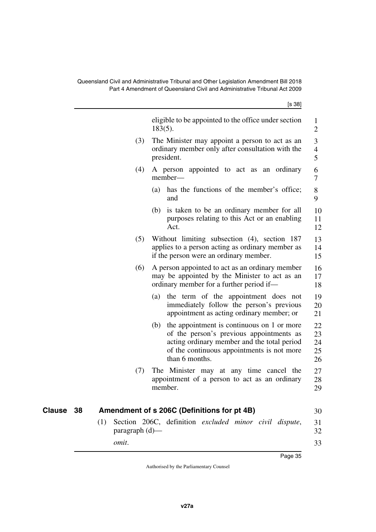[s 38]

<span id="page-36-1"></span><span id="page-36-0"></span>

|           |                          | eligible to be appointed to the office under section<br>$183(5)$ .                                                                                                                                           | 1<br>$\overline{2}$                |
|-----------|--------------------------|--------------------------------------------------------------------------------------------------------------------------------------------------------------------------------------------------------------|------------------------------------|
|           | (3)                      | The Minister may appoint a person to act as an<br>ordinary member only after consultation with the<br>president.                                                                                             | 3<br>$\overline{\mathcal{A}}$<br>5 |
|           | (4)                      | A person appointed to act as an ordinary<br>member—                                                                                                                                                          | 6<br>7                             |
|           |                          | has the functions of the member's office;<br>(a)<br>and                                                                                                                                                      | 8<br>9                             |
|           |                          | is taken to be an ordinary member for all<br>(b)<br>purposes relating to this Act or an enabling<br>Act.                                                                                                     | 10<br>11<br>12                     |
|           | (5)                      | Without limiting subsection (4), section 187<br>applies to a person acting as ordinary member as<br>if the person were an ordinary member.                                                                   | 13<br>14<br>15                     |
|           | (6)                      | A person appointed to act as an ordinary member<br>may be appointed by the Minister to act as an<br>ordinary member for a further period if—                                                                 | 16<br>17<br>18                     |
|           |                          | the term of the appointment does not<br>(a)<br>immediately follow the person's previous<br>appointment as acting ordinary member; or                                                                         | 19<br>20<br>21                     |
|           |                          | the appointment is continuous on 1 or more<br>(b)<br>of the person's previous appointments as<br>acting ordinary member and the total period<br>of the continuous appointments is not more<br>than 6 months. | 22<br>23<br>24<br>25<br>26         |
|           | (7)                      | The Minister may at any time cancel the<br>appointment of a person to act as an ordinary<br>member.                                                                                                          | 27<br>28<br>29                     |
| Clause 38 |                          | Amendment of s 206C (Definitions for pt 4B)                                                                                                                                                                  | 30                                 |
|           | (1)<br>paragraph $(d)$ — | Section 206C, definition excluded minor civil dispute,                                                                                                                                                       | 31<br>32                           |
|           | omit.                    |                                                                                                                                                                                                              | 33                                 |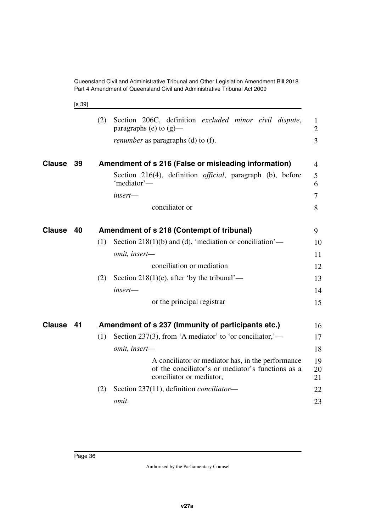<span id="page-37-1"></span>[s 39]

<span id="page-37-5"></span><span id="page-37-4"></span><span id="page-37-3"></span><span id="page-37-2"></span><span id="page-37-0"></span>

|               |    | (2) | Section 206C, definition excluded minor civil dispute,<br>paragraphs (e) to $(g)$ —                                                | $\mathbf{1}$<br>$\overline{2}$ |
|---------------|----|-----|------------------------------------------------------------------------------------------------------------------------------------|--------------------------------|
|               |    |     | <i>renumber</i> as paragraphs (d) to (f).                                                                                          | $\overline{3}$                 |
| <b>Clause</b> | 39 |     | Amendment of s 216 (False or misleading information)                                                                               | $\overline{4}$                 |
|               |    |     | Section 216(4), definition <i>official</i> , paragraph (b), before<br>'mediator'—                                                  | 5<br>6                         |
|               |    |     | insert-                                                                                                                            | 7                              |
|               |    |     | conciliator or                                                                                                                     | 8                              |
| <b>Clause</b> | 40 |     | Amendment of s 218 (Contempt of tribunal)                                                                                          | 9                              |
|               |    | (1) | Section 218(1)(b) and (d), 'mediation or conciliation'—                                                                            | 10                             |
|               |    |     | omit, insert-                                                                                                                      | 11                             |
|               |    |     | conciliation or mediation                                                                                                          | 12                             |
|               |    | (2) | Section 218(1)(c), after 'by the tribunal'—                                                                                        | 13                             |
|               |    |     | $insert$ —                                                                                                                         | 14                             |
|               |    |     | or the principal registrar                                                                                                         | 15                             |
| <b>Clause</b> | 41 |     | Amendment of s 237 (Immunity of participants etc.)                                                                                 | 16                             |
|               |    | (1) | Section 237(3), from 'A mediator' to 'or conciliator,'—                                                                            | 17                             |
|               |    |     | omit, insert-                                                                                                                      | 18                             |
|               |    |     | A conciliator or mediator has, in the performance<br>of the conciliator's or mediator's functions as a<br>conciliator or mediator, | 19<br>20<br>21                 |
|               |    | (2) | Section 237(11), definition <i>conciliator</i> —                                                                                   | 22                             |
|               |    |     | omit.                                                                                                                              | 23                             |
|               |    |     |                                                                                                                                    |                                |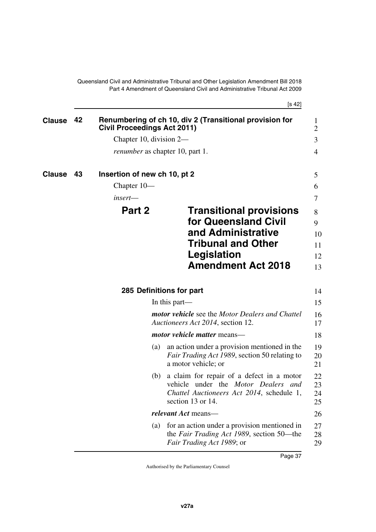<span id="page-38-5"></span>[s 42]

<span id="page-38-7"></span><span id="page-38-6"></span><span id="page-38-4"></span><span id="page-38-3"></span><span id="page-38-2"></span><span id="page-38-1"></span><span id="page-38-0"></span>

| <b>Clause</b> | 42 | <b>Civil Proceedings Act 2011)</b>     | Renumbering of ch 10, div 2 (Transitional provision for                                                                                            | $\bf{l}$<br>$\overline{2}$ |
|---------------|----|----------------------------------------|----------------------------------------------------------------------------------------------------------------------------------------------------|----------------------------|
|               |    | Chapter 10, division 2—                |                                                                                                                                                    | 3                          |
|               |    | <i>renumber</i> as chapter 10, part 1. |                                                                                                                                                    | 4                          |
| Clause        | 43 | Insertion of new ch 10, pt 2           |                                                                                                                                                    | 5                          |
|               |    | Chapter $10-$                          |                                                                                                                                                    | 6                          |
|               |    | $insert$ —                             |                                                                                                                                                    | 7                          |
|               |    | Part 2                                 | <b>Transitional provisions</b><br>for Queensland Civil                                                                                             | 8<br>9                     |
|               |    |                                        | and Administrative                                                                                                                                 | 10                         |
|               |    |                                        | <b>Tribunal and Other</b>                                                                                                                          | 11                         |
|               |    |                                        | Legislation                                                                                                                                        | 12                         |
|               |    |                                        | <b>Amendment Act 2018</b>                                                                                                                          | 13                         |
|               |    | 285 Definitions for part               |                                                                                                                                                    | 14                         |
|               |    |                                        | In this part—                                                                                                                                      | 15                         |
|               |    |                                        | <b>motor vehicle</b> see the Motor Dealers and Chattel<br>Auctioneers Act 2014, section 12.                                                        | 16<br>17                   |
|               |    |                                        | motor vehicle matter means-                                                                                                                        | 18                         |
|               |    | (a)                                    | an action under a provision mentioned in the<br><i>Fair Trading Act 1989</i> , section 50 relating to<br>a motor vehicle; or                       | 19<br>20<br>21             |
|               |    | (b)                                    | a claim for repair of a defect in a motor<br>vehicle under the Motor Dealers and<br>Chattel Auctioneers Act 2014, schedule 1,<br>section 13 or 14. | 22<br>23<br>24<br>25       |
|               |    |                                        | <i>relevant Act</i> means—                                                                                                                         | 26                         |
|               |    | (a)                                    | for an action under a provision mentioned in<br>the Fair Trading Act 1989, section 50—the<br>Fair Trading Act 1989; or                             | 27<br>28<br>29             |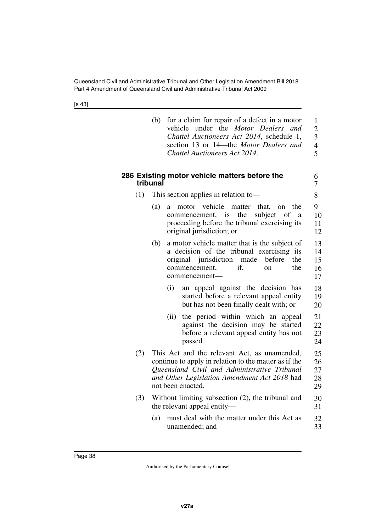[s 43]

<span id="page-39-1"></span><span id="page-39-0"></span>

|     | (b)      |      | for a claim for repair of a defect in a motor<br>vehicle under the Motor Dealers<br>and<br>Chattel Auctioneers Act 2014, schedule 1,<br>section 13 or 14-the Motor Dealers and<br>Chattel Auctioneers Act 2014.            | $\mathbf{1}$<br>$\overline{c}$<br>$\overline{3}$<br>$\overline{4}$<br>$\overline{5}$ |
|-----|----------|------|----------------------------------------------------------------------------------------------------------------------------------------------------------------------------------------------------------------------------|--------------------------------------------------------------------------------------|
|     | tribunal |      | 286 Existing motor vehicle matters before the                                                                                                                                                                              | 6<br>7                                                                               |
| (1) |          |      | This section applies in relation to-                                                                                                                                                                                       | 8                                                                                    |
|     | (a)      | a    | motor vehicle<br>matter that, on<br>the<br>commencement, is<br>the<br>subject<br>of<br>a<br>proceeding before the tribunal exercising its<br>original jurisdiction; or                                                     | 9<br>10<br>11<br>12                                                                  |
|     | (b)      |      | a motor vehicle matter that is the subject of<br>a decision of the tribunal exercising its<br>original jurisdiction<br>made<br>before<br>the<br>commencement,<br>if.<br>the<br>on<br>commencement-                         | 13<br>14<br>15<br>16<br>17                                                           |
|     |          | (i)  | appeal against the decision has<br>an<br>started before a relevant appeal entity<br>but has not been finally dealt with; or                                                                                                | 18<br>19<br>20                                                                       |
|     |          | (ii) | the period within which an<br>appeal<br>against the decision may be started<br>before a relevant appeal entity has not<br>passed.                                                                                          | 21<br>22<br>23<br>24                                                                 |
| (2) |          |      | This Act and the relevant Act, as unamended,<br>continue to apply in relation to the matter as if the<br>Queensland Civil and Administrative Tribunal<br>and Other Legislation Amendment Act 2018 had<br>not been enacted. | 25<br>26<br>27<br>28<br>29                                                           |
| (3) |          |      | Without limiting subsection (2), the tribunal and<br>the relevant appeal entity—                                                                                                                                           | 30<br>31                                                                             |
|     | (a)      |      | must deal with the matter under this Act as<br>unamended; and                                                                                                                                                              | 32<br>33                                                                             |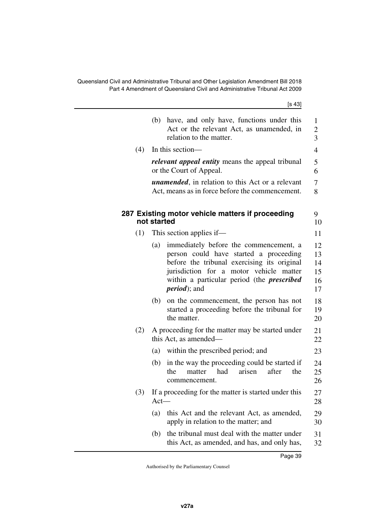<span id="page-40-1"></span><span id="page-40-0"></span>

|     | [s 43]                                                                                                                                                                                                                                                         |
|-----|----------------------------------------------------------------------------------------------------------------------------------------------------------------------------------------------------------------------------------------------------------------|
|     | have, and only have, functions under this<br>(b)<br>Act or the relevant Act, as unamended, in<br>relation to the matter.                                                                                                                                       |
| (4) | In this section—                                                                                                                                                                                                                                               |
|     | <i>relevant appeal entity</i> means the appeal tribunal<br>or the Court of Appeal.                                                                                                                                                                             |
|     | <i>unamended</i> , in relation to this Act or a relevant<br>Act, means as in force before the commencement.                                                                                                                                                    |
|     | 287 Existing motor vehicle matters if proceeding<br>not started                                                                                                                                                                                                |
| (1) | This section applies if—                                                                                                                                                                                                                                       |
|     | immediately before the commencement, a<br>(a)<br>person could have started a proceeding<br>before the tribunal exercising its original<br>jurisdiction for a motor vehicle matter<br>within a particular period (the <i>prescribed</i><br><i>period</i> ); and |
|     | (b)<br>on the commencement, the person has not<br>started a proceeding before the tribunal for<br>the matter.                                                                                                                                                  |
| (2) | A proceeding for the matter may be started under<br>this Act, as amended—                                                                                                                                                                                      |
|     | within the prescribed period; and<br>(a)                                                                                                                                                                                                                       |
|     | in the way the proceeding could be started if<br>(b)<br>had<br>arisen<br>after<br>the<br>matter<br>the<br>commencement.                                                                                                                                        |
| (3) | If a proceeding for the matter is started under this<br>$Act-$                                                                                                                                                                                                 |
|     | this Act and the relevant Act, as amended,<br>(a)<br>apply in relation to the matter; and                                                                                                                                                                      |
|     | the tribunal must deal with the matter under<br>(b)<br>this Act, as amended, and has, and only has,                                                                                                                                                            |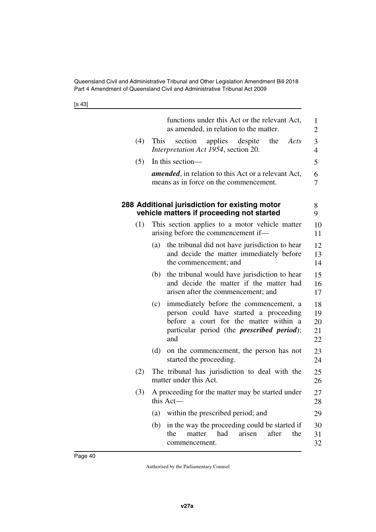[s 43]

<span id="page-41-1"></span><span id="page-41-0"></span>

|     | functions under this Act or the relevant Act,<br>as amended, in relation to the matter.                                                                                                        | 1<br>2                     |
|-----|------------------------------------------------------------------------------------------------------------------------------------------------------------------------------------------------|----------------------------|
| (4) | section<br>applies despite<br>the<br>This<br>Acts<br>Interpretation Act 1954, section 20.                                                                                                      | 3<br>$\overline{4}$        |
| (5) | In this section—                                                                                                                                                                               | 5                          |
|     | <i>amended</i> , in relation to this Act or a relevant Act,<br>means as in force on the commencement.                                                                                          | 6<br>7                     |
|     | 288 Additional jurisdiction for existing motor<br>vehicle matters if proceeding not started                                                                                                    | 8<br>9                     |
| (1) | This section applies to a motor vehicle matter<br>arising before the commencement if—                                                                                                          | 10<br>11                   |
|     | the tribunal did not have jurisdiction to hear<br>(a)<br>and decide the matter immediately before<br>the commencement; and                                                                     | 12<br>13<br>14             |
|     | the tribunal would have jurisdiction to hear<br>(b)<br>and decide the matter if the matter had<br>arisen after the commencement; and                                                           | 15<br>16<br>17             |
|     | immediately before the commencement, a<br>(c)<br>person could have started a proceeding<br>before a court for the matter within a<br>particular period (the <i>prescribed period</i> );<br>and | 18<br>19<br>20<br>21<br>22 |
|     | (d)<br>on the commencement, the person has not<br>started the proceeding.                                                                                                                      | 23<br>24                   |
| (2) | The tribunal has jurisdiction to deal with the<br>matter under this Act.                                                                                                                       | 25<br>26                   |
| (3) | A proceeding for the matter may be started under<br>this Act-                                                                                                                                  | 27<br>28                   |
|     | within the prescribed period; and<br>(a)                                                                                                                                                       | 29                         |
|     | in the way the proceeding could be started if<br>(b)<br>had<br>arisen<br>after<br>the<br>matter<br>the<br>commencement.                                                                        | 30<br>31<br>32             |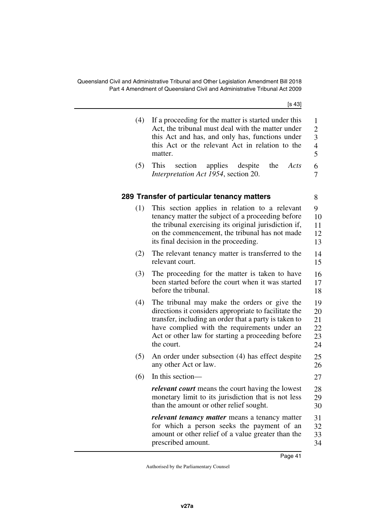[s 43]

<span id="page-42-1"></span><span id="page-42-0"></span>

| (4) | If a proceeding for the matter is started under this<br>Act, the tribunal must deal with the matter under<br>this Act and has, and only has, functions under<br>this Act or the relevant Act in relation to the<br>matter.                                                        | $\mathbf{1}$<br>$\overline{c}$<br>$\overline{3}$<br>$\overline{\mathcal{A}}$<br>5 |
|-----|-----------------------------------------------------------------------------------------------------------------------------------------------------------------------------------------------------------------------------------------------------------------------------------|-----------------------------------------------------------------------------------|
| (5) | This<br>section<br>applies<br>despite<br>the<br>Acts<br>Interpretation Act 1954, section 20.                                                                                                                                                                                      | 6<br>7                                                                            |
|     | 289 Transfer of particular tenancy matters                                                                                                                                                                                                                                        | 8                                                                                 |
| (1) | This section applies in relation to a relevant<br>tenancy matter the subject of a proceeding before<br>the tribunal exercising its original jurisdiction if,<br>on the commencement, the tribunal has not made<br>its final decision in the proceeding.                           | 9<br>10<br>11<br>12<br>13                                                         |
| (2) | The relevant tenancy matter is transferred to the<br>relevant court.                                                                                                                                                                                                              | 14<br>15                                                                          |
| (3) | The proceeding for the matter is taken to have<br>been started before the court when it was started<br>before the tribunal.                                                                                                                                                       | 16<br>17<br>18                                                                    |
| (4) | The tribunal may make the orders or give the<br>directions it considers appropriate to facilitate the<br>transfer, including an order that a party is taken to<br>have complied with the requirements under an<br>Act or other law for starting a proceeding before<br>the court. | 19<br>20<br>21<br>22<br>23<br>24                                                  |
| (5) | An order under subsection (4) has effect despite<br>any other Act or law.                                                                                                                                                                                                         | 25<br>26                                                                          |
| (6) | In this section—                                                                                                                                                                                                                                                                  | 27                                                                                |
|     | <i>relevant court</i> means the court having the lowest<br>monetary limit to its jurisdiction that is not less<br>than the amount or other relief sought.                                                                                                                         | 28<br>29<br>30                                                                    |
|     | relevant tenancy matter means a tenancy matter<br>for which a person seeks the payment of an<br>amount or other relief of a value greater than the<br>prescribed amount.                                                                                                          | 31<br>32<br>33<br>34                                                              |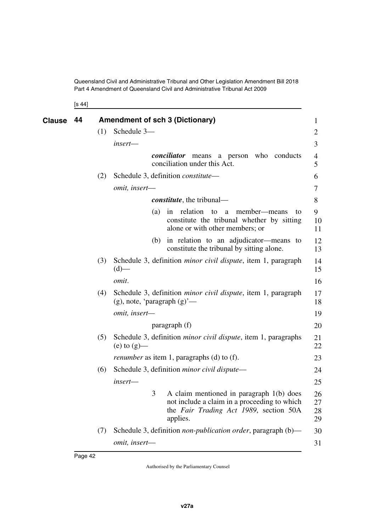<span id="page-43-1"></span><span id="page-43-0"></span>[s 44]

| <b>Clause</b> | 44 |     | <b>Amendment of sch 3 (Dictionary)</b> |                                                                                                                                                  | 1                    |
|---------------|----|-----|----------------------------------------|--------------------------------------------------------------------------------------------------------------------------------------------------|----------------------|
|               |    | (1) | Schedule 3-                            |                                                                                                                                                  | 2                    |
|               |    |     | insert-                                |                                                                                                                                                  | 3                    |
|               |    |     |                                        | <i>conciliator</i> means a person who conducts<br>conciliation under this Act.                                                                   | 4<br>5               |
|               |    | (2) |                                        | Schedule 3, definition <i>constitute</i> —                                                                                                       | 6                    |
|               |    |     | omit, insert-                          |                                                                                                                                                  | 7                    |
|               |    |     |                                        | <i>constitute</i> , the tribunal—                                                                                                                | 8                    |
|               |    |     | (a)                                    | in relation<br>member—means<br>to<br>a<br>to<br>constitute the tribunal whether by sitting<br>alone or with other members; or                    | 9<br>10<br>11        |
|               |    |     |                                        | (b) in relation to an adjudicator—means to<br>constitute the tribunal by sitting alone.                                                          | 12<br>13             |
|               |    | (3) | $(d)$ —                                | Schedule 3, definition <i>minor civil dispute</i> , item 1, paragraph                                                                            | 14<br>15             |
|               |    |     | omit.                                  |                                                                                                                                                  | 16                   |
|               |    | (4) | $(g)$ , note, 'paragraph $(g)'$ —      | Schedule 3, definition <i>minor civil dispute</i> , item 1, paragraph                                                                            | 17<br>18             |
|               |    |     | omit, insert-                          |                                                                                                                                                  | 19                   |
|               |    |     |                                        | paragraph (f)                                                                                                                                    | 20                   |
|               |    | (5) | (e) to $(g)$ —                         | Schedule 3, definition <i>minor civil dispute</i> , item 1, paragraphs                                                                           | 21<br>22             |
|               |    |     |                                        | renumber as item 1, paragraphs (d) to (f).                                                                                                       | 23                   |
|               |    | (6) |                                        | Schedule 3, definition <i>minor civil dispute</i> —                                                                                              | 24                   |
|               |    |     | insert—                                |                                                                                                                                                  | 25                   |
|               |    |     |                                        | 3 A claim mentioned in paragraph 1(b) does<br>not include a claim in a proceeding to which<br>the Fair Trading Act 1989, section 50A<br>applies. | 26<br>27<br>28<br>29 |
|               |    | (7) |                                        | Schedule 3, definition <i>non-publication order</i> , paragraph (b)—                                                                             | 30                   |
|               |    |     | omit, insert-                          |                                                                                                                                                  | 31                   |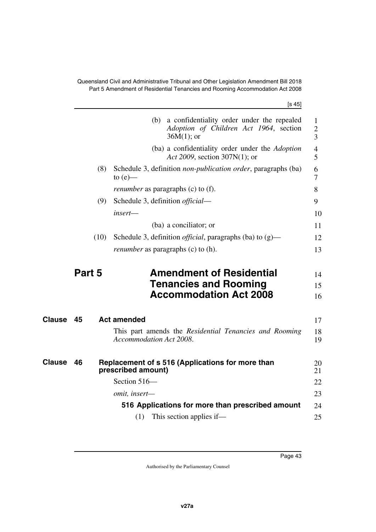Queensland Civil and Administrative Tribunal and Other Legislation Amendment Bill 2018 Part 5 Amendment of Residential Tenancies and Rooming Accommodation Act 2008

<span id="page-44-1"></span>*insert*—

|     | ו טו                                                                                                      |
|-----|-----------------------------------------------------------------------------------------------------------|
|     | (b) a confidentiality order under the repealed<br>Adoption of Children Act 1964, section<br>$36M(1)$ ; or |
|     | (ba) a confidentiality order under the Adoption<br>Act 2009, section 307N(1); or                          |
| (8) | Schedule 3, definition <i>non-publication order</i> , paragraphs (ba)<br>to $(e)$ —                       |
|     | <i>renumber</i> as paragraphs (c) to (f).                                                                 |
| (9) | Schedule 3, definition <i>official</i> —                                                                  |
|     | insert—                                                                                                   |

 $[s 45]$ 

|      | (ba) a conciliator; or                                              |    |
|------|---------------------------------------------------------------------|----|
| (10) | Schedule 3, definition <i>official</i> , paragraphs (ba) to $(g)$ — | 12 |
|      | <i>renumber</i> as paragraphs (c) to (h).                           | 13 |

#### <span id="page-44-3"></span><span id="page-44-0"></span>**Part 5** Amendment of Residential **Tenancies and Rooming Accommodation Act 2008** 14 15 16

<span id="page-44-7"></span><span id="page-44-6"></span><span id="page-44-5"></span><span id="page-44-4"></span><span id="page-44-2"></span>

| <b>Clause</b> | 45 | <b>Act amended</b>                                                                | 17       |
|---------------|----|-----------------------------------------------------------------------------------|----------|
|               |    | This part amends the Residential Tenancies and Rooming<br>Accommodation Act 2008. | 18<br>19 |
| <b>Clause</b> | 46 | Replacement of s 516 (Applications for more than<br>prescribed amount)            | 20<br>21 |
|               |    | Section $516-$                                                                    | 22       |
|               |    | <i>omit, insert—</i>                                                              | 23       |
|               |    | 516 Applications for more than prescribed amount                                  | 24       |
|               |    | This section applies if—<br>(1)                                                   | 25       |